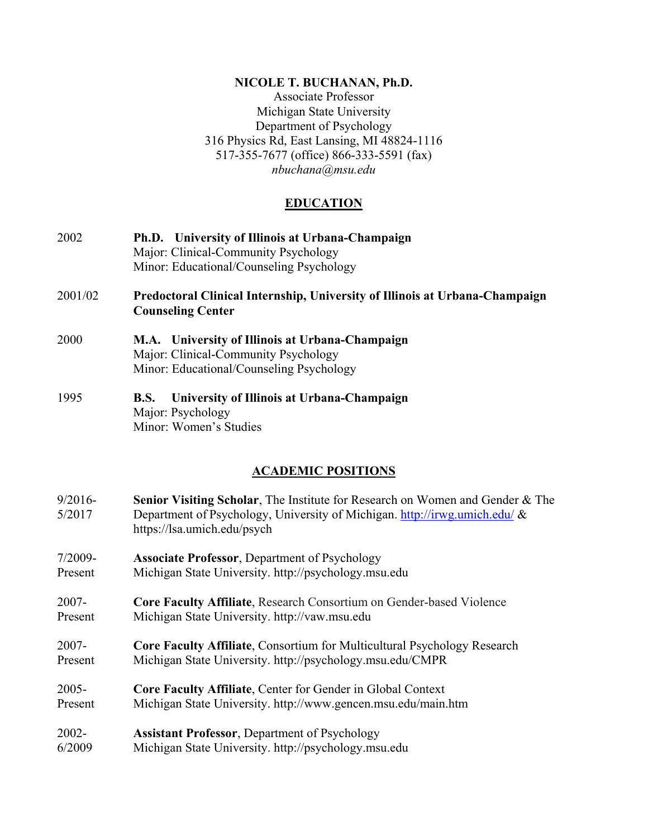#### **NICOLE T. BUCHANAN, Ph.D.**

Associate Professor Michigan State University Department of Psychology 316 Physics Rd, East Lansing, MI 48824-1116 517-355-7677 (office) 866-333-5591 (fax) *nbuchana@msu.edu* 

# **EDUCATION**

- 2002 **Ph.D. University of Illinois at Urbana-Champaign** Major: Clinical-Community Psychology Minor: Educational/Counseling Psychology
- 2001/02 **Predoctoral Clinical Internship, University of Illinois at Urbana-Champaign Counseling Center**
- 2000 **M.A. University of Illinois at Urbana-Champaign** Major: Clinical-Community Psychology Minor: Educational/Counseling Psychology
- 1995 **B.S. University of Illinois at Urbana-Champaign** Major: Psychology Minor: Women's Studies

# **ACADEMIC POSITIONS**

- 9/2016- **Senior Visiting Scholar**, The Institute for Research on Women and Gender & The 5/2017 Department of Psychology, University of Michigan. http://irwg.umich.edu/ & https://lsa.umich.edu/psych
- 7/2009- **Associate Professor**, Department of Psychology Present Michigan State University. http://psychology.msu.edu
- 2007- **Core Faculty Affiliate**, Research Consortium on Gender-based Violence Present Michigan State University. http://vaw.msu.edu
- 2007- **Core Faculty Affiliate**, Consortium for Multicultural Psychology Research Present Michigan State University. http://psychology.msu.edu/CMPR
- 2005- **Core Faculty Affiliate**, Center for Gender in Global Context Present Michigan State University. http://www.gencen.msu.edu/main.htm
- 2002- **Assistant Professor**, Department of Psychology 6/2009 Michigan State University. http://psychology.msu.edu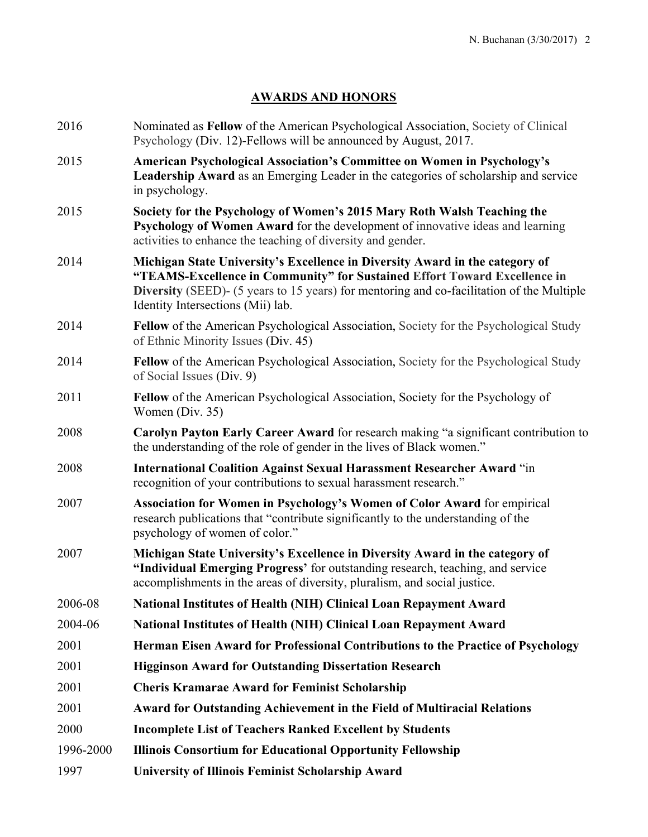# **AWARDS AND HONORS**

| 2016      | Nominated as Fellow of the American Psychological Association, Society of Clinical<br>Psychology (Div. 12)-Fellows will be announced by August, 2017.                                                                                                                                       |
|-----------|---------------------------------------------------------------------------------------------------------------------------------------------------------------------------------------------------------------------------------------------------------------------------------------------|
| 2015      | American Psychological Association's Committee on Women in Psychology's<br>Leadership Award as an Emerging Leader in the categories of scholarship and service<br>in psychology.                                                                                                            |
| 2015      | Society for the Psychology of Women's 2015 Mary Roth Walsh Teaching the<br>Psychology of Women Award for the development of innovative ideas and learning<br>activities to enhance the teaching of diversity and gender.                                                                    |
| 2014      | Michigan State University's Excellence in Diversity Award in the category of<br>"TEAMS-Excellence in Community" for Sustained Effort Toward Excellence in<br>Diversity (SEED)- (5 years to 15 years) for mentoring and co-facilitation of the Multiple<br>Identity Intersections (Mii) lab. |
| 2014      | <b>Fellow</b> of the American Psychological Association, Society for the Psychological Study<br>of Ethnic Minority Issues (Div. 45)                                                                                                                                                         |
| 2014      | Fellow of the American Psychological Association, Society for the Psychological Study<br>of Social Issues (Div. 9)                                                                                                                                                                          |
| 2011      | Fellow of the American Psychological Association, Society for the Psychology of<br>Women (Div. 35)                                                                                                                                                                                          |
| 2008      | Carolyn Payton Early Career Award for research making "a significant contribution to<br>the understanding of the role of gender in the lives of Black women."                                                                                                                               |
| 2008      | <b>International Coalition Against Sexual Harassment Researcher Award "in</b><br>recognition of your contributions to sexual harassment research."                                                                                                                                          |
| 2007      | Association for Women in Psychology's Women of Color Award for empirical<br>research publications that "contribute significantly to the understanding of the<br>psychology of women of color."                                                                                              |
| 2007      | Michigan State University's Excellence in Diversity Award in the category of<br>"Individual Emerging Progress' for outstanding research, teaching, and service<br>accomplishments in the areas of diversity, pluralism, and social justice.                                                 |
| 2006-08   | <b>National Institutes of Health (NIH) Clinical Loan Repayment Award</b>                                                                                                                                                                                                                    |
| 2004-06   | National Institutes of Health (NIH) Clinical Loan Repayment Award                                                                                                                                                                                                                           |
| 2001      | Herman Eisen Award for Professional Contributions to the Practice of Psychology                                                                                                                                                                                                             |
| 2001      | <b>Higginson Award for Outstanding Dissertation Research</b>                                                                                                                                                                                                                                |
| 2001      | <b>Cheris Kramarae Award for Feminist Scholarship</b>                                                                                                                                                                                                                                       |
| 2001      | <b>Award for Outstanding Achievement in the Field of Multiracial Relations</b>                                                                                                                                                                                                              |
| 2000      | <b>Incomplete List of Teachers Ranked Excellent by Students</b>                                                                                                                                                                                                                             |
| 1996-2000 | <b>Illinois Consortium for Educational Opportunity Fellowship</b>                                                                                                                                                                                                                           |
| 1997      | <b>University of Illinois Feminist Scholarship Award</b>                                                                                                                                                                                                                                    |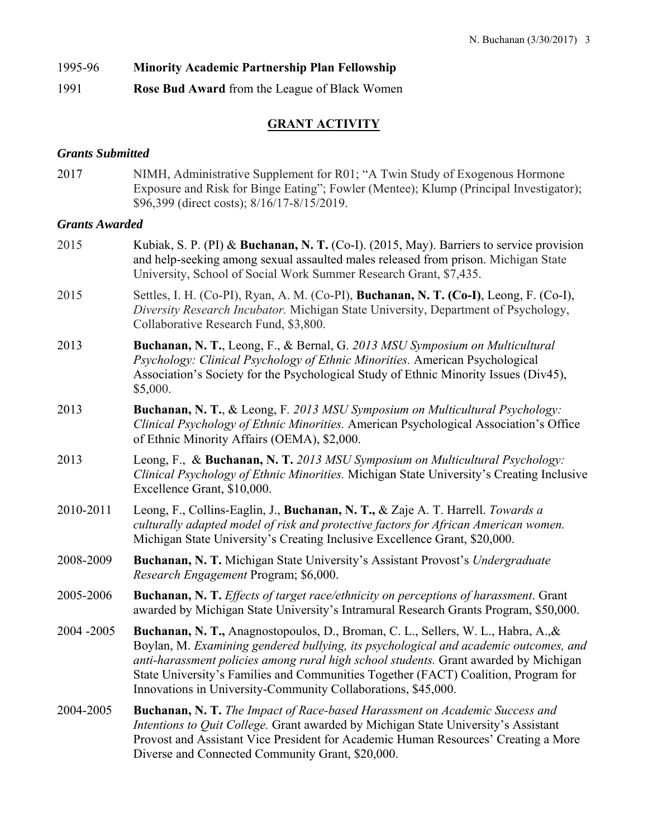# 1995-96 **Minority Academic Partnership Plan Fellowship**

1991 **Rose Bud Award** from the League of Black Women

# **GRANT ACTIVITY**

# *Grants Submitted*

2017 NIMH, Administrative Supplement for R01; "A Twin Study of Exogenous Hormone Exposure and Risk for Binge Eating"; Fowler (Mentee); Klump (Principal Investigator); \$96,399 (direct costs); 8/16/17-8/15/2019.

# *Grants Awarded*

2015 Kubiak, S. P. (PI) & **Buchanan, N. T.** (Co-I). (2015, May). Barriers to service provision and help-seeking among sexual assaulted males released from prison. Michigan State University, School of Social Work Summer Research Grant, \$7,435. 2015 Settles, I. H. (Co-PI), Ryan, A. M. (Co-PI), **Buchanan, N. T. (Co-I)**, Leong, F. (Co-I), *Diversity Research Incubator.* Michigan State University, Department of Psychology, Collaborative Research Fund, \$3,800. 2013 **Buchanan, N. T.**, Leong, F., & Bernal, G. *2013 MSU Symposium on Multicultural Psychology: Clinical Psychology of Ethnic Minorities.* American Psychological Association's Society for the Psychological Study of Ethnic Minority Issues (Div45), \$5,000. 2013 **Buchanan, N. T.**, & Leong, F*. 2013 MSU Symposium on Multicultural Psychology: Clinical Psychology of Ethnic Minorities.* American Psychological Association's Office of Ethnic Minority Affairs (OEMA), \$2,000. 2013 Leong, F., & **Buchanan, N. T.** *2013 MSU Symposium on Multicultural Psychology: Clinical Psychology of Ethnic Minorities.* Michigan State University's Creating Inclusive Excellence Grant, \$10,000. 2010-2011 Leong, F., Collins-Eaglin, J., **Buchanan, N. T.,** & Zaje A. T. Harrell. *Towards a culturally adapted model of risk and protective factors for African American women.* Michigan State University's Creating Inclusive Excellence Grant, \$20,000. 2008-2009 **Buchanan, N. T.** Michigan State University's Assistant Provost's *Undergraduate Research Engagement* Program; \$6,000. 2005-2006 **Buchanan, N. T.** *Effects of target race/ethnicity on perceptions of harassment*. Grant awarded by Michigan State University's Intramural Research Grants Program, \$50,000. 2004 -2005 **Buchanan, N. T.,** Anagnostopoulos, D., Broman, C. L., Sellers, W. L., Habra, A.,& Boylan, M. *Examining gendered bullying, its psychological and academic outcomes, and anti-harassment policies among rural high school students.* Grant awarded by Michigan State University's Families and Communities Together (FACT) Coalition, Program for Innovations in University-Community Collaborations, \$45,000. 2004-2005 **Buchanan, N. T.** *The Impact of Race-based Harassment on Academic Success and Intentions to Quit College.* Grant awarded by Michigan State University's Assistant Provost and Assistant Vice President for Academic Human Resources' Creating a More Diverse and Connected Community Grant, \$20,000.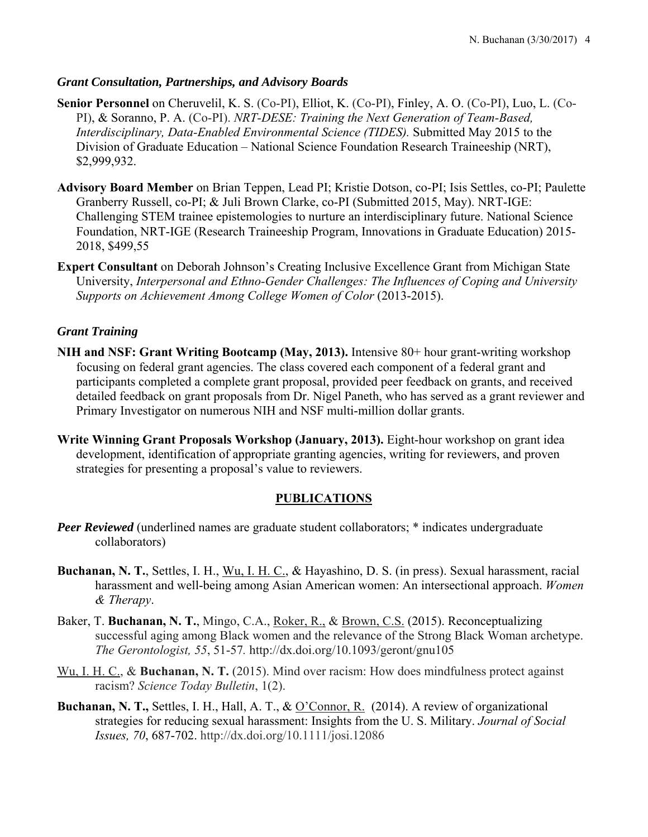### *Grant Consultation, Partnerships, and Advisory Boards*

Senior Personnel on Cheruvelil, K. S. (Co-PI), Elliot, K. (Co-PI), Finley, A. O. (Co-PI), Luo, L. (Co-PI), & Soranno, P. A. (Co-PI). *NRT-DESE: Training the Next Generation of Team-Based, Interdisciplinary, Data-Enabled Environmental Science (TIDES).* Submitted May 2015 to the Division of Graduate Education – National Science Foundation Research Traineeship (NRT), \$2,999,932.

- **Advisory Board Member** on Brian Teppen, Lead PI; Kristie Dotson, co-PI; Isis Settles, co-PI; Paulette Granberry Russell, co-PI; & Juli Brown Clarke, co-PI (Submitted 2015, May). NRT-IGE: Challenging STEM trainee epistemologies to nurture an interdisciplinary future. National Science Foundation, NRT-IGE (Research Traineeship Program, Innovations in Graduate Education) 2015- 2018, \$499,55
- **Expert Consultant** on Deborah Johnson's Creating Inclusive Excellence Grant from Michigan State University, *Interpersonal and Ethno-Gender Challenges: The Influences of Coping and University Supports on Achievement Among College Women of Color* (2013-2015).

# *Grant Training*

- **NIH and NSF: Grant Writing Bootcamp (May, 2013).** Intensive 80+ hour grant-writing workshop focusing on federal grant agencies. The class covered each component of a federal grant and participants completed a complete grant proposal, provided peer feedback on grants, and received detailed feedback on grant proposals from Dr. Nigel Paneth, who has served as a grant reviewer and Primary Investigator on numerous NIH and NSF multi-million dollar grants.
- **Write Winning Grant Proposals Workshop (January, 2013).** Eight-hour workshop on grant idea development, identification of appropriate granting agencies, writing for reviewers, and proven strategies for presenting a proposal's value to reviewers.

# **PUBLICATIONS**

- *Peer Reviewed* (underlined names are graduate student collaborators; \* indicates undergraduate collaborators)
- **Buchanan, N. T.**, Settles, I. H., Wu, I. H. C., & Hayashino, D. S. (in press). Sexual harassment, racial harassment and well-being among Asian American women: An intersectional approach. *Women & Therapy*.
- Baker, T. **Buchanan, N. T.**, Mingo, C.A., Roker, R., & Brown, C.S. (2015). Reconceptualizing successful aging among Black women and the relevance of the Strong Black Woman archetype. *The Gerontologist, 55*, 51-57*.* http://dx.doi.org/10.1093/geront/gnu105
- Wu, I. H. C., & **Buchanan, N. T.** (2015). Mind over racism: How does mindfulness protect against racism? *Science Today Bulletin*, 1(2).
- **Buchanan, N. T.,** Settles, I. H., Hall, A. T., & O'Connor, R. (2014). A review of organizational strategies for reducing sexual harassment: Insights from the U. S. Military. *Journal of Social Issues, 70*, 687-702. http://dx.doi.org/10.1111/josi.12086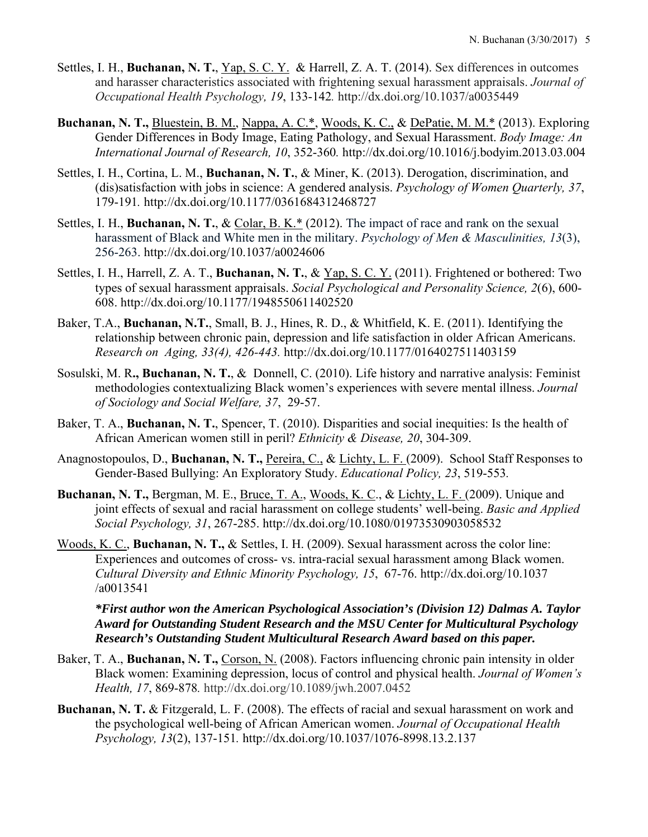- Settles, I. H., **Buchanan, N. T.**, *Yap*, S. C. *Y.* & Harrell, Z. A. T. (2014). Sex differences in outcomes and harasser characteristics associated with frightening sexual harassment appraisals. *Journal of Occupational Health Psychology, 19*, 133-142*.* http://dx.doi.org/10.1037/a0035449
- **Buchanan, N. T.,** Bluestein, B. M., Nappa, A. C.\*, Woods, K. C., & DePatie, M. M.\* (2013). Exploring Gender Differences in Body Image, Eating Pathology, and Sexual Harassment. *Body Image: An International Journal of Research, 10*, 352-360*.* http://dx.doi.org/10.1016/j.bodyim.2013.03.004
- Settles, I. H., Cortina, L. M., **Buchanan, N. T.**, & Miner, K. (2013). Derogation, discrimination, and (dis)satisfaction with jobs in science: A gendered analysis. *Psychology of Women Quarterly, 37*, 179-191*.* http://dx.doi.org/10.1177/0361684312468727
- Settles, I. H., **Buchanan, N. T.**, & Colar, B. K.\* (2012). The impact of race and rank on the sexual harassment of Black and White men in the military. *Psychology of Men & Masculinities, 13*(3), 256-263. http://dx.doi.org/10.1037/a0024606
- Settles, I. H., Harrell, Z. A. T., **Buchanan, N. T.**, & Yap, S. C. Y. (2011). Frightened or bothered: Two types of sexual harassment appraisals. *Social Psychological and Personality Science, 2*(6), 600- 608. http://dx.doi.org/10.1177/1948550611402520
- Baker, T.A., **Buchanan, N.T.**, Small, B. J., Hines, R. D., & Whitfield, K. E. (2011). Identifying the relationship between chronic pain, depression and life satisfaction in older African Americans. *Research on Aging, 33(4), 426-443.* http://dx.doi.org/10.1177/0164027511403159
- Sosulski, M. R**., Buchanan, N. T.**, &Donnell, C. (2010). Life history and narrative analysis: Feminist methodologies contextualizing Black women's experiences with severe mental illness. *Journal of Sociology and Social Welfare, 37*, 29-57.
- Baker, T. A., **Buchanan, N. T.**, Spencer, T. (2010). Disparities and social inequities: Is the health of African American women still in peril? *Ethnicity & Disease, 20*, 304-309.
- Anagnostopoulos, D., **Buchanan, N. T.,** Pereira, C., & Lichty, L. F. (2009). School Staff Responses to Gender-Based Bullying: An Exploratory Study. *Educational Policy, 23*, 519-553*.*
- **Buchanan, N. T.,** Bergman, M. E., Bruce, T. A., Woods, K. C., & Lichty, L. F. (2009). Unique and joint effects of sexual and racial harassment on college students' well-being. *Basic and Applied Social Psychology, 31*, 267-285. http://dx.doi.org/10.1080/01973530903058532
- Woods, K. C., **Buchanan, N. T.,** & Settles, I. H. (2009). Sexual harassment across the color line: Experiences and outcomes of cross- vs. intra-racial sexual harassment among Black women. *Cultural Diversity and Ethnic Minority Psychology, 15*, 67-76. http://dx.doi.org/10.1037 /a0013541

# *\*First author won the American Psychological Association's (Division 12) Dalmas A. Taylor Award for Outstanding Student Research and the MSU Center for Multicultural Psychology Research's Outstanding Student Multicultural Research Award based on this paper.*

- Baker, T. A., **Buchanan, N. T.,** Corson, N. (2008). Factors influencing chronic pain intensity in older Black women: Examining depression, locus of control and physical health. *Journal of Women's Health, 17*, 869-878*.* http://dx.doi.org/10.1089/jwh.2007.0452
- **Buchanan, N. T.** & Fitzgerald, L. F. (2008). The effects of racial and sexual harassment on work and the psychological well-being of African American women. *Journal of Occupational Health Psychology, 13*(2), 137-151*.* http://dx.doi.org/10.1037/1076-8998.13.2.137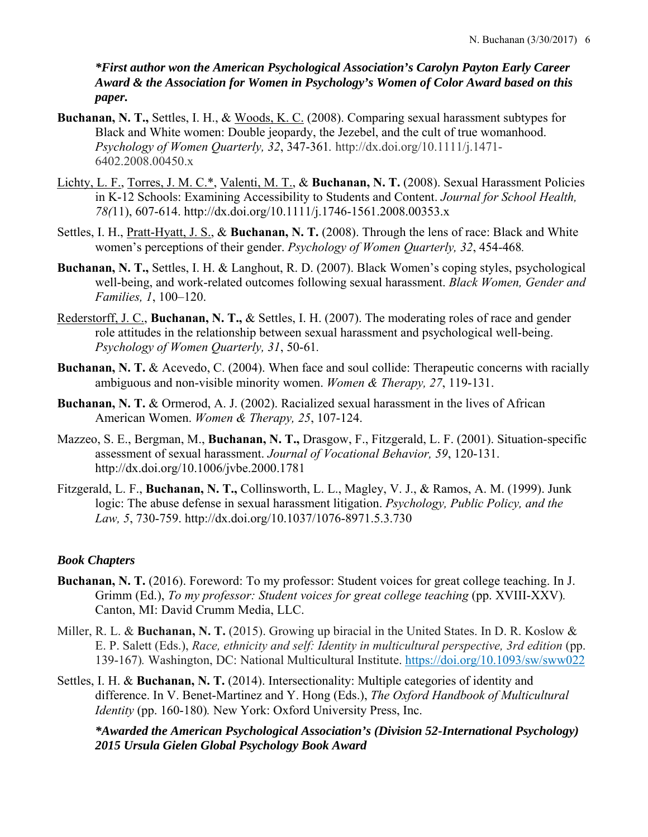*\*First author won the American Psychological Association's Carolyn Payton Early Career Award & the Association for Women in Psychology's Women of Color Award based on this paper.*

- **Buchanan, N. T.,** Settles, I. H., & Woods, K. C. (2008). Comparing sexual harassment subtypes for Black and White women: Double jeopardy, the Jezebel, and the cult of true womanhood. *Psychology of Women Quarterly, 32*, 347-361*.* http://dx.doi.org/10.1111/j.1471- 6402.2008.00450.x
- Lichty, L. F., Torres, J. M. C.\*, Valenti, M. T., & **Buchanan, N. T.** (2008). Sexual Harassment Policies in K-12 Schools: Examining Accessibility to Students and Content. *Journal for School Health, 78(*11), 607-614. http://dx.doi.org/10.1111/j.1746-1561.2008.00353.x
- Settles, I. H., Pratt-Hyatt, J. S., & **Buchanan, N. T.** (2008). Through the lens of race: Black and White women's perceptions of their gender. *Psychology of Women Quarterly, 32*, 454-468*.*
- **Buchanan, N. T.,** Settles, I. H. & Langhout, R. D. (2007). Black Women's coping styles, psychological well-being, and work-related outcomes following sexual harassment. *Black Women, Gender and Families, 1*, 100–120.
- Rederstorff, J. C., **Buchanan, N. T.,** & Settles, I. H. (2007). The moderating roles of race and gender role attitudes in the relationship between sexual harassment and psychological well-being. *Psychology of Women Quarterly, 31*, 50-61*.*
- **Buchanan, N. T.** & Acevedo, C. (2004). When face and soul collide: Therapeutic concerns with racially ambiguous and non-visible minority women. *Women & Therapy, 27*, 119-131.
- **Buchanan, N. T.** & Ormerod, A. J. (2002). Racialized sexual harassment in the lives of African American Women. *Women & Therapy, 25*, 107-124.
- Mazzeo, S. E., Bergman, M., **Buchanan, N. T.,** Drasgow, F., Fitzgerald, L. F. (2001). Situation-specific assessment of sexual harassment. *Journal of Vocational Behavior, 59*, 120-131. http://dx.doi.org/10.1006/jvbe.2000.1781
- Fitzgerald, L. F., **Buchanan, N. T.,** Collinsworth, L. L., Magley, V. J., & Ramos, A. M. (1999). Junk logic: The abuse defense in sexual harassment litigation. *Psychology, Public Policy, and the Law, 5*, 730-759. http://dx.doi.org/10.1037/1076-8971.5.3.730

# *Book Chapters*

- **Buchanan, N. T.** (2016). Foreword: To my professor: Student voices for great college teaching. In J. Grimm (Ed.), *To my professor: Student voices for great college teaching* (pp. XVIII-XXV). Canton, MI: David Crumm Media, LLC.
- Miller, R. L. & **Buchanan, N. T.** (2015). Growing up biracial in the United States. In D. R. Koslow & E. P. Salett (Eds.), *Race, ethnicity and self: Identity in multicultural perspective, 3rd edition* (pp. 139-167)*.* Washington, DC: National Multicultural Institute. https://doi.org/10.1093/sw/sww022
- Settles, I. H. & **Buchanan, N. T.** (2014). Intersectionality: Multiple categories of identity and difference. In V. Benet-Martinez and Y. Hong (Eds.), *The Oxford Handbook of Multicultural Identity* (pp. 160-180). New York: Oxford University Press, Inc.

*\*Awarded the American Psychological Association's (Division 52-International Psychology) 2015 Ursula Gielen Global Psychology Book Award*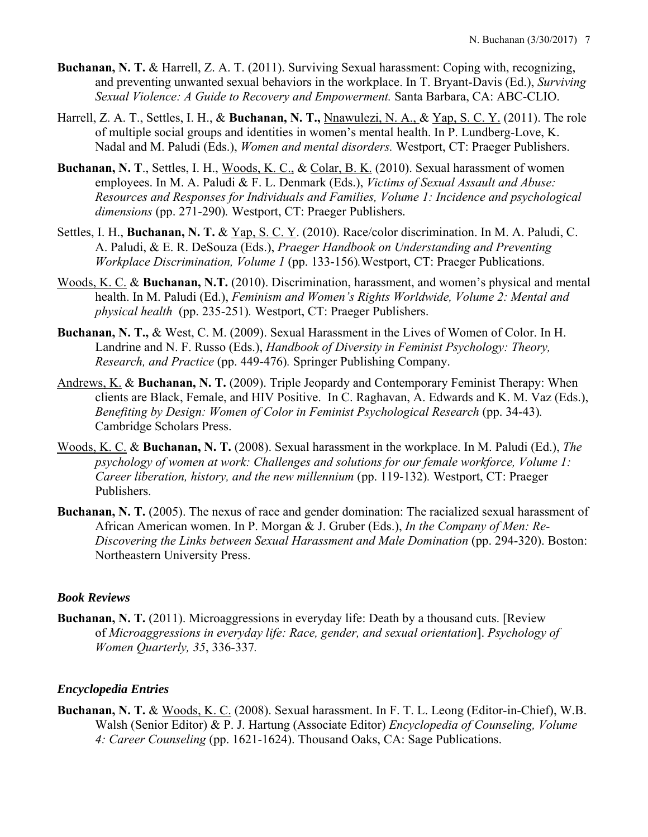- **Buchanan, N. T.** & Harrell, Z. A. T. (2011). Surviving Sexual harassment: Coping with, recognizing, and preventing unwanted sexual behaviors in the workplace. In T. Bryant-Davis (Ed.), *Surviving Sexual Violence: A Guide to Recovery and Empowerment.* Santa Barbara, CA: ABC-CLIO.
- Harrell, Z. A. T., Settles, I. H., & **Buchanan, N. T.,** Nnawulezi, N. A., & Yap, S. C. Y. (2011). The role of multiple social groups and identities in women's mental health. In P. Lundberg-Love, K. Nadal and M. Paludi (Eds.), *Women and mental disorders.* Westport, CT: Praeger Publishers.
- **Buchanan, N. T**., Settles, I. H., Woods, K. C., & Colar, B. K. (2010). Sexual harassment of women employees. In M. A. Paludi & F. L. Denmark (Eds.), *Victims of Sexual Assault and Abuse: Resources and Responses for Individuals and Families, Volume 1: Incidence and psychological dimensions* (pp. 271-290)*.* Westport, CT: Praeger Publishers.
- Settles, I. H., **Buchanan, N. T.** & Yap, S. C. Y. (2010). Race/color discrimination. In M. A. Paludi, C. A. Paludi, & E. R. DeSouza (Eds.), *Praeger Handbook on Understanding and Preventing Workplace Discrimination, Volume 1* (pp. 133-156)*.*Westport, CT: Praeger Publications.
- Woods, K. C. & **Buchanan, N.T.** (2010). Discrimination, harassment, and women's physical and mental health. In M. Paludi (Ed.), *Feminism and Women's Rights Worldwide, Volume 2: Mental and physical health* (pp. 235-251)*.* Westport, CT: Praeger Publishers.
- **Buchanan, N. T.,** & West, C. M. (2009). Sexual Harassment in the Lives of Women of Color. In H. Landrine and N. F. Russo (Eds.), *Handbook of Diversity in Feminist Psychology: Theory, Research, and Practice* (pp. 449-476)*.* Springer Publishing Company.
- Andrews, K. & **Buchanan, N. T.** (2009). Triple Jeopardy and Contemporary Feminist Therapy: When clients are Black, Female, and HIV Positive. In C. Raghavan, A. Edwards and K. M. Vaz (Eds.), *Benefiting by Design: Women of Color in Feminist Psychological Research (pp. 34-43).* Cambridge Scholars Press.
- Woods, K. C. & **Buchanan, N. T.** (2008). Sexual harassment in the workplace. In M. Paludi (Ed.), *The psychology of women at work: Challenges and solutions for our female workforce, Volume 1: Career liberation, history, and the new millennium (pp. 119-132).* Westport, CT: Praeger Publishers.
- **Buchanan, N. T.** (2005). The nexus of race and gender domination: The racialized sexual harassment of African American women. In P. Morgan & J. Gruber (Eds.), *In the Company of Men: Re-Discovering the Links between Sexual Harassment and Male Domination (pp. 294-320). Boston:* Northeastern University Press.

#### *Book Reviews*

**Buchanan, N. T.** (2011). Microaggressions in everyday life: Death by a thousand cuts. [Review of *Microaggressions in everyday life: Race, gender, and sexual orientation*]. *Psychology of Women Quarterly, 35*, 336-337*.* 

#### *Encyclopedia Entries*

**Buchanan, N. T.** & Woods, K. C. (2008). Sexual harassment. In F. T. L. Leong (Editor-in-Chief), W.B. Walsh (Senior Editor) & P. J. Hartung (Associate Editor) *Encyclopedia of Counseling, Volume 4: Career Counseling* (pp. 1621-1624). Thousand Oaks, CA: Sage Publications.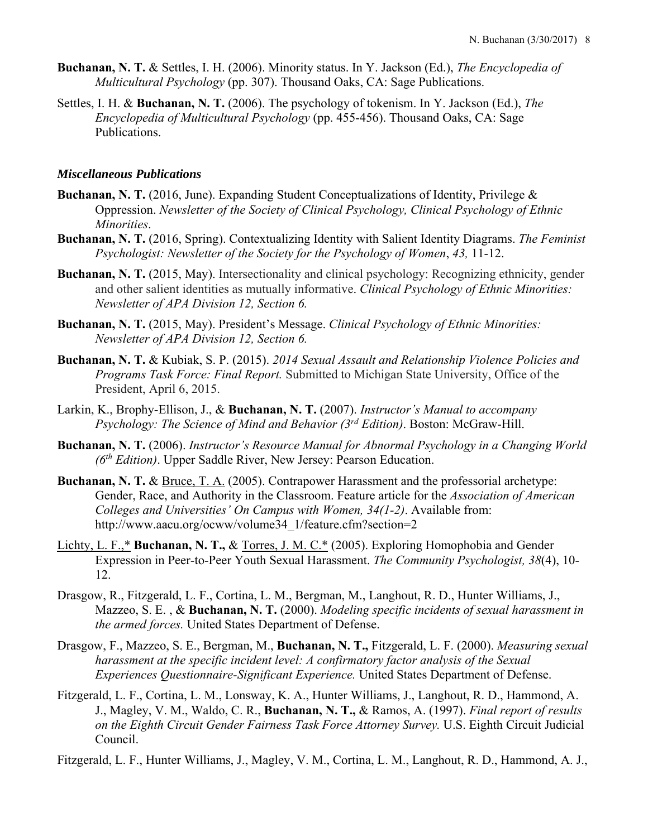- **Buchanan, N. T.** & Settles, I. H. (2006). Minority status. In Y. Jackson (Ed.), *The Encyclopedia of Multicultural Psychology* (pp. 307). Thousand Oaks, CA: Sage Publications.
- Settles, I. H. & **Buchanan, N. T.** (2006). The psychology of tokenism. In Y. Jackson (Ed.), *The Encyclopedia of Multicultural Psychology* (pp. 455-456). Thousand Oaks, CA: Sage Publications.

#### *Miscellaneous Publications*

- **Buchanan, N. T.** (2016, June). Expanding Student Conceptualizations of Identity, Privilege & Oppression. *Newsletter of the Society of Clinical Psychology, Clinical Psychology of Ethnic Minorities*.
- **Buchanan, N. T.** (2016, Spring). Contextualizing Identity with Salient Identity Diagrams. *The Feminist Psychologist: Newsletter of the Society for the Psychology of Women*, *43,* 11-12.
- **Buchanan, N. T.** (2015, May). Intersectionality and clinical psychology: Recognizing ethnicity, gender and other salient identities as mutually informative. *Clinical Psychology of Ethnic Minorities: Newsletter of APA Division 12, Section 6.*
- **Buchanan, N. T.** (2015, May). President's Message. *Clinical Psychology of Ethnic Minorities: Newsletter of APA Division 12, Section 6.*
- **Buchanan, N. T.** & Kubiak, S. P. (2015). *2014 Sexual Assault and Relationship Violence Policies and Programs Task Force: Final Report.* Submitted to Michigan State University, Office of the President, April 6, 2015.
- Larkin, K., Brophy-Ellison, J., & **Buchanan, N. T.** (2007). *Instructor's Manual to accompany Psychology: The Science of Mind and Behavior (3rd Edition)*. Boston: McGraw-Hill.
- **Buchanan, N. T.** (2006). *Instructor's Resource Manual for Abnormal Psychology in a Changing World (6th Edition)*. Upper Saddle River, New Jersey: Pearson Education.
- **Buchanan, N. T.** & Bruce, T. A. (2005). Contrapower Harassment and the professorial archetype: Gender, Race, and Authority in the Classroom. Feature article for the *Association of American Colleges and Universities' On Campus with Women, 34(1-2)*. Available from: http://www.aacu.org/ocww/volume34\_1/feature.cfm?section=2
- Lichty, L. F.,\* **Buchanan, N. T.,** & Torres, J. M. C.\* (2005). Exploring Homophobia and Gender Expression in Peer-to-Peer Youth Sexual Harassment. *The Community Psychologist, 38*(4), 10- 12.
- Drasgow, R., Fitzgerald, L. F., Cortina, L. M., Bergman, M., Langhout, R. D., Hunter Williams, J., Mazzeo, S. E. , & **Buchanan, N. T.** (2000). *Modeling specific incidents of sexual harassment in the armed forces.* United States Department of Defense.
- Drasgow, F., Mazzeo, S. E., Bergman, M., **Buchanan, N. T.,** Fitzgerald, L. F. (2000). *Measuring sexual harassment at the specific incident level: A confirmatory factor analysis of the Sexual Experiences Questionnaire-Significant Experience.* United States Department of Defense.
- Fitzgerald, L. F., Cortina, L. M., Lonsway, K. A., Hunter Williams, J., Langhout, R. D., Hammond, A. J., Magley, V. M., Waldo, C. R., **Buchanan, N. T.,** & Ramos, A. (1997). *Final report of results on the Eighth Circuit Gender Fairness Task Force Attorney Survey.* U.S. Eighth Circuit Judicial Council.

Fitzgerald, L. F., Hunter Williams, J., Magley, V. M., Cortina, L. M., Langhout, R. D., Hammond, A. J.,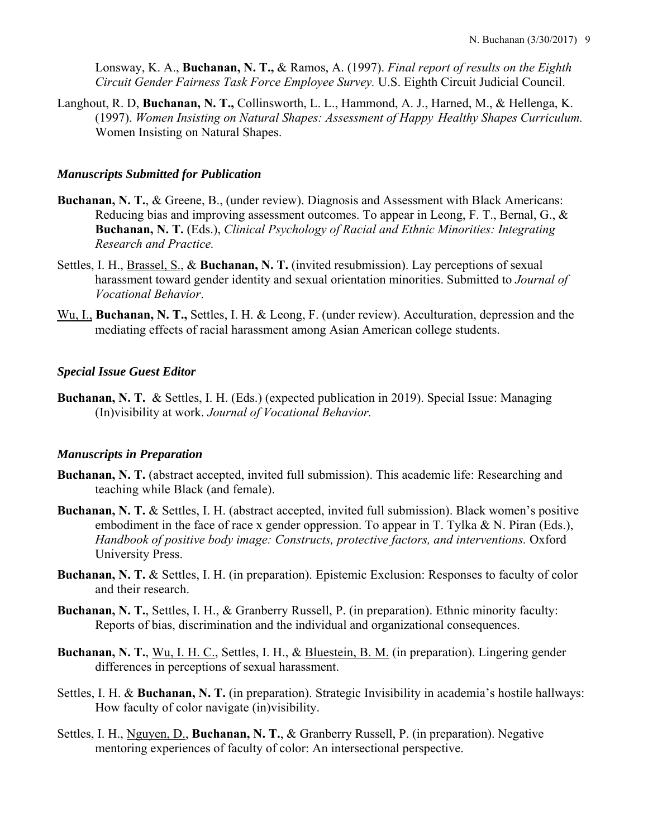Lonsway, K. A., **Buchanan, N. T.,** & Ramos, A. (1997). *Final report of results on the Eighth Circuit Gender Fairness Task Force Employee Survey.* U.S. Eighth Circuit Judicial Council.

Langhout, R. D, **Buchanan, N. T.,** Collinsworth, L. L., Hammond, A. J., Harned, M., & Hellenga, K. (1997). *Women Insisting on Natural Shapes: Assessment of Happy Healthy Shapes Curriculum.* Women Insisting on Natural Shapes.

#### *Manuscripts Submitted for Publication*

- **Buchanan, N. T.**, & Greene, B., (under review). Diagnosis and Assessment with Black Americans: Reducing bias and improving assessment outcomes. To appear in Leong, F. T., Bernal, G., & **Buchanan, N. T.** (Eds.), *Clinical Psychology of Racial and Ethnic Minorities: Integrating Research and Practice.*
- Settles, I. H., Brassel, S., & **Buchanan, N. T.** (invited resubmission). Lay perceptions of sexual harassment toward gender identity and sexual orientation minorities. Submitted to *Journal of Vocational Behavior*.
- Wu, I., **Buchanan, N. T.,** Settles, I. H. & Leong, F. (under review). Acculturation, depression and the mediating effects of racial harassment among Asian American college students.

#### *Special Issue Guest Editor*

**Buchanan, N. T.** & Settles, I. H. (Eds.) (expected publication in 2019). Special Issue: Managing (In)visibility at work. *Journal of Vocational Behavior.*

### *Manuscripts in Preparation*

- **Buchanan, N. T.** (abstract accepted, invited full submission). This academic life: Researching and teaching while Black (and female).
- **Buchanan, N. T.** & Settles, I. H. (abstract accepted, invited full submission). Black women's positive embodiment in the face of race x gender oppression. To appear in T. Tylka & N. Piran (Eds.), Handbook of positive body image: Constructs, protective factors, and interventions. Oxford University Press.
- **Buchanan, N. T.** & Settles, I. H. (in preparation). Epistemic Exclusion: Responses to faculty of color and their research.
- **Buchanan, N. T.**, Settles, I. H., & Granberry Russell, P. (in preparation). Ethnic minority faculty: Reports of bias, discrimination and the individual and organizational consequences.
- **Buchanan, N. T.**, Wu, I. H. C., Settles, I. H., & Bluestein, B. M. (in preparation). Lingering gender differences in perceptions of sexual harassment.
- Settles, I. H. & **Buchanan, N. T.** (in preparation). Strategic Invisibility in academia's hostile hallways: How faculty of color navigate (in)visibility.
- Settles, I. H., Nguyen, D., **Buchanan, N. T.**, & Granberry Russell, P. (in preparation). Negative mentoring experiences of faculty of color: An intersectional perspective.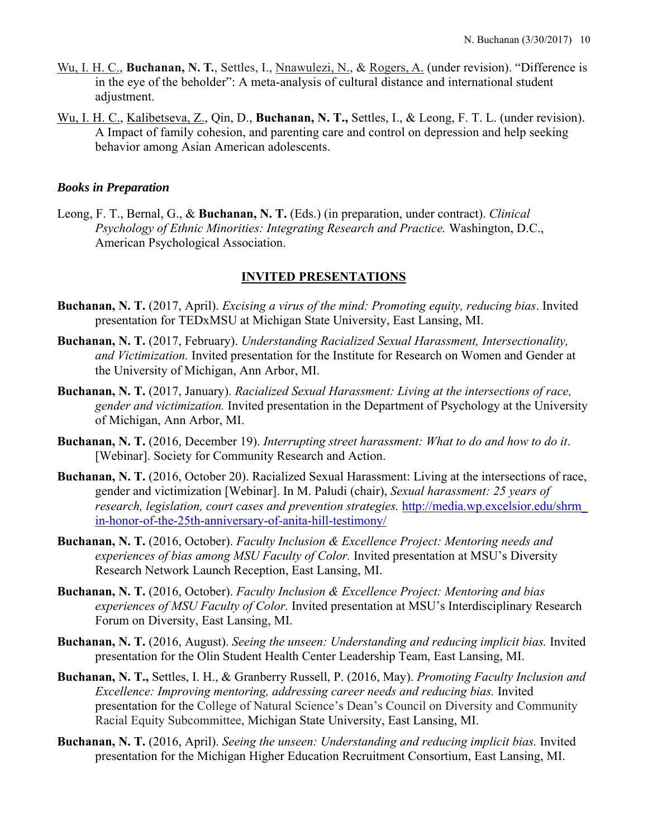- Wu, I. H. C., **Buchanan, N. T.**, Settles, I., Nnawulezi, N., & Rogers, A. (under revision). "Difference is in the eye of the beholder": A meta-analysis of cultural distance and international student adjustment.
- Wu, I. H. C., Kalibetseva, Z., Qin, D., **Buchanan, N. T.,** Settles, I., & Leong, F. T. L. (under revision). A Impact of family cohesion, and parenting care and control on depression and help seeking behavior among Asian American adolescents.

### *Books in Preparation*

Leong, F. T., Bernal, G., & **Buchanan, N. T.** (Eds.) (in preparation, under contract). *Clinical Psychology of Ethnic Minorities: Integrating Research and Practice.* Washington, D.C., American Psychological Association.

# **INVITED PRESENTATIONS**

- **Buchanan, N. T.** (2017, April). *Excising a virus of the mind: Promoting equity, reducing bias*. Invited presentation for TEDxMSU at Michigan State University, East Lansing, MI.
- **Buchanan, N. T.** (2017, February). *Understanding Racialized Sexual Harassment, Intersectionality, and Victimization.* Invited presentation for the Institute for Research on Women and Gender at the University of Michigan, Ann Arbor, MI.
- **Buchanan, N. T.** (2017, January). *Racialized Sexual Harassment: Living at the intersections of race, gender and victimization.* Invited presentation in the Department of Psychology at the University of Michigan, Ann Arbor, MI.
- **Buchanan, N. T.** (2016, December 19). *Interrupting street harassment: What to do and how to do it*. [Webinar]. Society for Community Research and Action.
- **Buchanan, N. T.** (2016, October 20). Racialized Sexual Harassment: Living at the intersections of race, gender and victimization [Webinar]. In M. Paludi (chair), *Sexual harassment: 25 years of research, legislation, court cases and prevention strategies.* http://media.wp.excelsior.edu/shrm\_ in-honor-of-the-25th-anniversary-of-anita-hill-testimony/
- **Buchanan, N. T.** (2016, October). *Faculty Inclusion & Excellence Project: Mentoring needs and experiences of bias among MSU Faculty of Color.* Invited presentation at MSU's Diversity Research Network Launch Reception, East Lansing, MI.
- **Buchanan, N. T.** (2016, October). *Faculty Inclusion & Excellence Project: Mentoring and bias experiences of MSU Faculty of Color.* Invited presentation at MSU's Interdisciplinary Research Forum on Diversity, East Lansing, MI.
- **Buchanan, N. T.** (2016, August). *Seeing the unseen: Understanding and reducing implicit bias.* Invited presentation for the Olin Student Health Center Leadership Team, East Lansing, MI.
- **Buchanan, N. T.,** Settles, I. H., & Granberry Russell, P. (2016, May). *Promoting Faculty Inclusion and Excellence: Improving mentoring, addressing career needs and reducing bias.* Invited presentation for the College of Natural Science's Dean's Council on Diversity and Community Racial Equity Subcommittee, Michigan State University, East Lansing, MI.
- **Buchanan, N. T.** (2016, April). *Seeing the unseen: Understanding and reducing implicit bias.* Invited presentation for the Michigan Higher Education Recruitment Consortium, East Lansing, MI.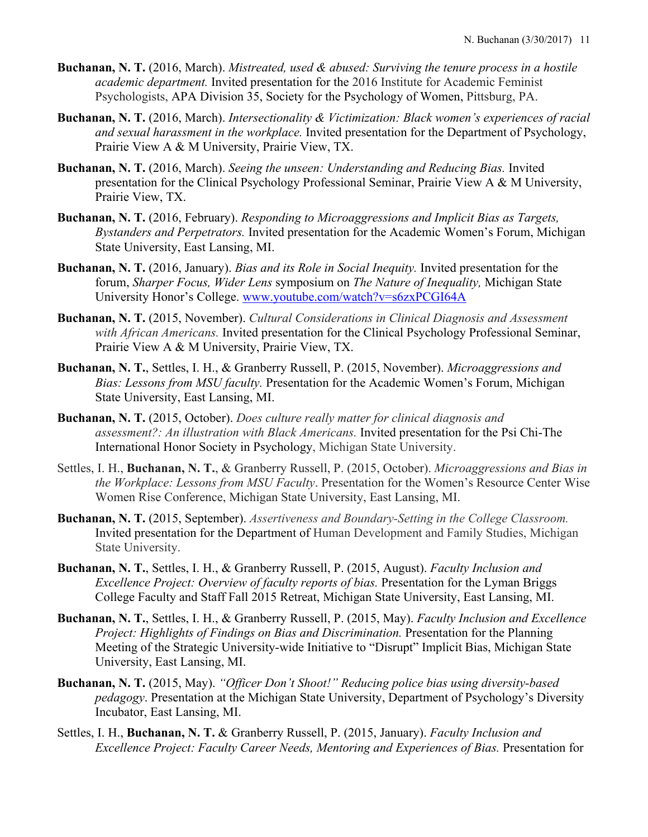- **Buchanan, N. T.** (2016, March). *Mistreated, used & abused: Surviving the tenure process in a hostile academic department.* Invited presentation for the 2016 Institute for Academic Feminist Psychologists, APA Division 35, Society for the Psychology of Women, Pittsburg, PA.
- **Buchanan, N. T.** (2016, March). *Intersectionality & Victimization: Black women's experiences of racial and sexual harassment in the workplace.* Invited presentation for the Department of Psychology, Prairie View A & M University, Prairie View, TX.
- **Buchanan, N. T.** (2016, March). *Seeing the unseen: Understanding and Reducing Bias.* Invited presentation for the Clinical Psychology Professional Seminar, Prairie View A & M University, Prairie View, TX.
- **Buchanan, N. T.** (2016, February). *Responding to Microaggressions and Implicit Bias as Targets, Bystanders and Perpetrators.* Invited presentation for the Academic Women's Forum, Michigan State University, East Lansing, MI.
- **Buchanan, N. T.** (2016, January). *Bias and its Role in Social Inequity.* Invited presentation for the forum, *Sharper Focus, Wider Lens* symposium on *The Nature of Inequality,* Michigan State University Honor's College. www.youtube.com/watch?v=s6zxPCGI64A
- **Buchanan, N. T.** (2015, November). *Cultural Considerations in Clinical Diagnosis and Assessment with African Americans.* Invited presentation for the Clinical Psychology Professional Seminar, Prairie View A & M University, Prairie View, TX.
- **Buchanan, N. T.**, Settles, I. H., & Granberry Russell, P. (2015, November). *Microaggressions and Bias: Lessons from MSU faculty.* Presentation for the Academic Women's Forum, Michigan State University, East Lansing, MI.
- **Buchanan, N. T.** (2015, October). *Does culture really matter for clinical diagnosis and assessment?: An illustration with Black Americans.* Invited presentation for the Psi Chi-The International Honor Society in Psychology, Michigan State University.
- Settles, I. H., **Buchanan, N. T.**, & Granberry Russell, P. (2015, October). *Microaggressions and Bias in the Workplace: Lessons from MSU Faculty*. Presentation for the Women's Resource Center Wise Women Rise Conference, Michigan State University, East Lansing, MI.
- **Buchanan, N. T.** (2015, September). *Assertiveness and Boundary-Setting in the College Classroom.* Invited presentation for the Department of Human Development and Family Studies, Michigan State University.
- **Buchanan, N. T.**, Settles, I. H., & Granberry Russell, P. (2015, August). *Faculty Inclusion and Excellence Project: Overview of faculty reports of bias.* Presentation for the Lyman Briggs College Faculty and Staff Fall 2015 Retreat, Michigan State University, East Lansing, MI.
- **Buchanan, N. T.**, Settles, I. H., & Granberry Russell, P. (2015, May). *Faculty Inclusion and Excellence Project: Highlights of Findings on Bias and Discrimination.* Presentation for the Planning Meeting of the Strategic University-wide Initiative to "Disrupt" Implicit Bias, Michigan State University, East Lansing, MI.
- **Buchanan, N. T.** (2015, May). *"Officer Don't Shoot!" Reducing police bias using diversity-based pedagogy*. Presentation at the Michigan State University, Department of Psychology's Diversity Incubator, East Lansing, MI.
- Settles, I. H., **Buchanan, N. T.** & Granberry Russell, P. (2015, January). *Faculty Inclusion and Excellence Project: Faculty Career Needs, Mentoring and Experiences of Bias.* Presentation for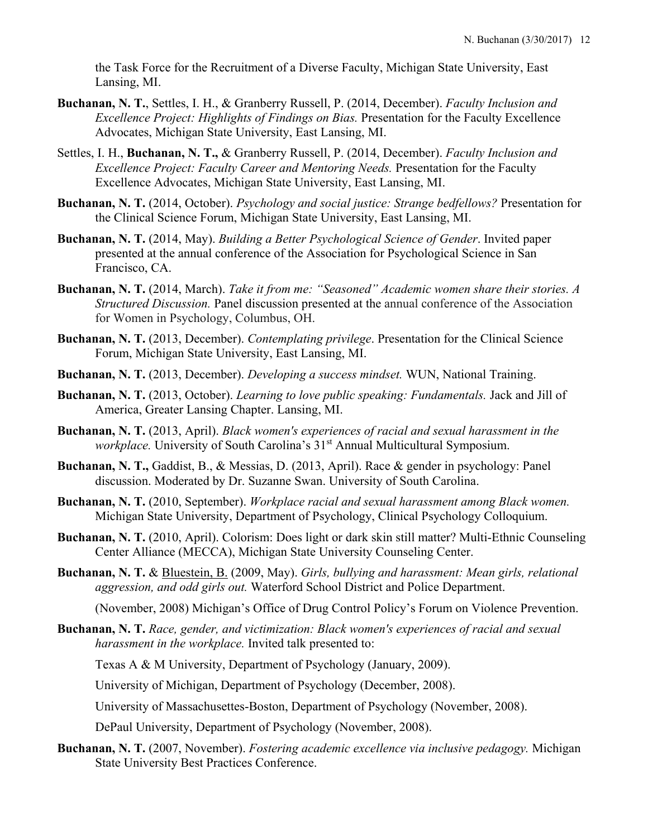the Task Force for the Recruitment of a Diverse Faculty, Michigan State University, East Lansing, MI.

- **Buchanan, N. T.**, Settles, I. H., & Granberry Russell, P. (2014, December). *Faculty Inclusion and Excellence Project: Highlights of Findings on Bias.* Presentation for the Faculty Excellence Advocates, Michigan State University, East Lansing, MI.
- Settles, I. H., **Buchanan, N. T.,** & Granberry Russell, P. (2014, December). *Faculty Inclusion and Excellence Project: Faculty Career and Mentoring Needs.* Presentation for the Faculty Excellence Advocates, Michigan State University, East Lansing, MI.
- **Buchanan, N. T.** (2014, October). *Psychology and social justice: Strange bedfellows?* Presentation for the Clinical Science Forum, Michigan State University, East Lansing, MI.
- **Buchanan, N. T.** (2014, May). *Building a Better Psychological Science of Gender*. Invited paper presented at the annual conference of the Association for Psychological Science in San Francisco, CA.
- **Buchanan, N. T.** (2014, March). *Take it from me: "Seasoned" Academic women share their stories. A Structured Discussion.* Panel discussion presented at the annual conference of the Association for Women in Psychology, Columbus, OH.
- **Buchanan, N. T.** (2013, December). *Contemplating privilege*. Presentation for the Clinical Science Forum, Michigan State University, East Lansing, MI.
- **Buchanan, N. T.** (2013, December). *Developing a success mindset.* WUN, National Training.
- **Buchanan, N. T.** (2013, October). *Learning to love public speaking: Fundamentals.* Jack and Jill of America, Greater Lansing Chapter. Lansing, MI.
- **Buchanan, N. T.** (2013, April). *Black women's experiences of racial and sexual harassment in the workplace.* University of South Carolina's 31<sup>st</sup> Annual Multicultural Symposium.
- **Buchanan, N. T.,** Gaddist, B., & Messias, D. (2013, April). Race & gender in psychology: Panel discussion. Moderated by Dr. Suzanne Swan. University of South Carolina.
- **Buchanan, N. T.** (2010, September). *Workplace racial and sexual harassment among Black women.* Michigan State University, Department of Psychology, Clinical Psychology Colloquium.
- **Buchanan, N. T.** (2010, April). Colorism: Does light or dark skin still matter? Multi-Ethnic Counseling Center Alliance (MECCA), Michigan State University Counseling Center.
- **Buchanan, N. T.** & Bluestein, B. (2009, May). *Girls, bullying and harassment: Mean girls, relational aggression, and odd girls out.* Waterford School District and Police Department.

(November, 2008) Michigan's Office of Drug Control Policy's Forum on Violence Prevention.

**Buchanan, N. T.** *Race, gender, and victimization: Black women's experiences of racial and sexual harassment in the workplace.* Invited talk presented to:

Texas A & M University, Department of Psychology (January, 2009).

University of Michigan, Department of Psychology (December, 2008).

University of Massachusettes-Boston, Department of Psychology (November, 2008).

DePaul University, Department of Psychology (November, 2008).

**Buchanan, N. T.** (2007, November). *Fostering academic excellence via inclusive pedagogy.* Michigan State University Best Practices Conference.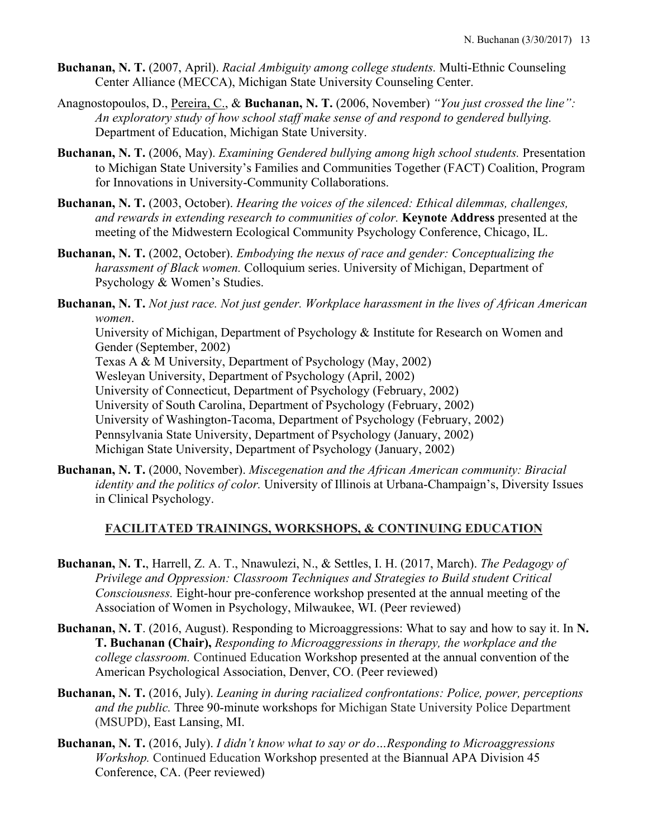- **Buchanan, N. T.** (2007, April). *Racial Ambiguity among college students.* Multi-Ethnic Counseling Center Alliance (MECCA), Michigan State University Counseling Center.
- Anagnostopoulos, D., Pereira, C., & **Buchanan, N. T.** (2006, November) *"You just crossed the line": An exploratory study of how school staff make sense of and respond to gendered bullying.* Department of Education, Michigan State University.
- **Buchanan, N. T.** (2006, May). *Examining Gendered bullying among high school students.* Presentation to Michigan State University's Families and Communities Together (FACT) Coalition, Program for Innovations in University-Community Collaborations.
- **Buchanan, N. T.** (2003, October). *Hearing the voices of the silenced: Ethical dilemmas, challenges, and rewards in extending research to communities of color.* **Keynote Address** presented at the meeting of the Midwestern Ecological Community Psychology Conference, Chicago, IL.
- **Buchanan, N. T.** (2002, October). *Embodying the nexus of race and gender: Conceptualizing the harassment of Black women.* Colloquium series. University of Michigan, Department of Psychology & Women's Studies.
- **Buchanan, N. T.** *Not just race. Not just gender. Workplace harassment in the lives of African American women*.

University of Michigan, Department of Psychology & Institute for Research on Women and Gender (September, 2002)

Texas A & M University, Department of Psychology (May, 2002)

Wesleyan University, Department of Psychology (April, 2002)

University of Connecticut, Department of Psychology (February, 2002)

University of South Carolina, Department of Psychology (February, 2002)

University of Washington-Tacoma, Department of Psychology (February, 2002)

Pennsylvania State University, Department of Psychology (January, 2002)

Michigan State University, Department of Psychology (January, 2002)

**Buchanan, N. T.** (2000, November). *Miscegenation and the African American community: Biracial identity and the politics of color.* University of Illinois at Urbana-Champaign's, Diversity Issues in Clinical Psychology.

# **FACILITATED TRAININGS, WORKSHOPS, & CONTINUING EDUCATION**

- **Buchanan, N. T.**, Harrell, Z. A. T., Nnawulezi, N., & Settles, I. H. (2017, March). *The Pedagogy of Privilege and Oppression: Classroom Techniques and Strategies to Build student Critical Consciousness.* Eight-hour pre-conference workshop presented at the annual meeting of the Association of Women in Psychology, Milwaukee, WI. (Peer reviewed)
- **Buchanan, N. T**. (2016, August). Responding to Microaggressions: What to say and how to say it. In **N. T. Buchanan (Chair),** *Responding to Microaggressions in therapy, the workplace and the college classroom.* Continued Education Workshop presented at the annual convention of the American Psychological Association, Denver, CO. (Peer reviewed)
- **Buchanan, N. T.** (2016, July). *Leaning in during racialized confrontations: Police, power, perceptions and the public.* Three 90-minute workshops for Michigan State University Police Department (MSUPD), East Lansing, MI.
- **Buchanan, N. T.** (2016, July). *I didn't know what to say or do…Responding to Microaggressions Workshop.* Continued Education Workshop presented at the Biannual APA Division 45 Conference, CA. (Peer reviewed)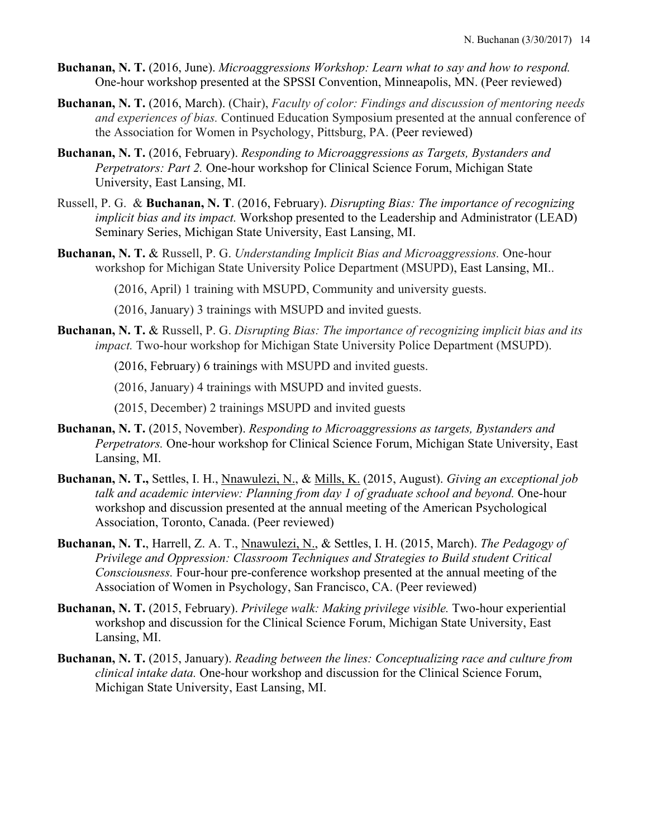- **Buchanan, N. T.** (2016, June). *Microaggressions Workshop: Learn what to say and how to respond.*  One-hour workshop presented at the SPSSI Convention, Minneapolis, MN. (Peer reviewed)
- **Buchanan, N. T.** (2016, March). (Chair), *Faculty of color: Findings and discussion of mentoring needs and experiences of bias.* Continued Education Symposium presented at the annual conference of the Association for Women in Psychology, Pittsburg, PA. (Peer reviewed)
- **Buchanan, N. T.** (2016, February). *Responding to Microaggressions as Targets, Bystanders and Perpetrators: Part 2.* One-hour workshop for Clinical Science Forum, Michigan State University, East Lansing, MI.
- Russell, P. G. & **Buchanan, N. T**. (2016, February). *Disrupting Bias: The importance of recognizing implicit bias and its impact.* Workshop presented to the Leadership and Administrator (LEAD) Seminary Series, Michigan State University, East Lansing, MI.
- **Buchanan, N. T.** & Russell, P. G. *Understanding Implicit Bias and Microaggressions.* One-hour workshop for Michigan State University Police Department (MSUPD), East Lansing, MI..

(2016, April) 1 training with MSUPD, Community and university guests.

(2016, January) 3 trainings with MSUPD and invited guests.

**Buchanan, N. T.** & Russell, P. G. *Disrupting Bias: The importance of recognizing implicit bias and its impact.* Two-hour workshop for Michigan State University Police Department (MSUPD).

(2016, February) 6 trainings with MSUPD and invited guests.

(2016, January) 4 trainings with MSUPD and invited guests.

(2015, December) 2 trainings MSUPD and invited guests

- **Buchanan, N. T.** (2015, November). *Responding to Microaggressions as targets, Bystanders and Perpetrators.* One-hour workshop for Clinical Science Forum, Michigan State University, East Lansing, MI.
- **Buchanan, N. T.,** Settles, I. H., Nnawulezi, N., & Mills, K. (2015, August). *Giving an exceptional job talk and academic interview: Planning from day 1 of graduate school and beyond.* One-hour workshop and discussion presented at the annual meeting of the American Psychological Association, Toronto, Canada. (Peer reviewed)
- **Buchanan, N. T.**, Harrell, Z. A. T., Nnawulezi, N., & Settles, I. H. (2015, March). *The Pedagogy of Privilege and Oppression: Classroom Techniques and Strategies to Build student Critical Consciousness.* Four-hour pre-conference workshop presented at the annual meeting of the Association of Women in Psychology, San Francisco, CA. (Peer reviewed)
- **Buchanan, N. T.** (2015, February). *Privilege walk: Making privilege visible.* Two-hour experiential workshop and discussion for the Clinical Science Forum, Michigan State University, East Lansing, MI.
- **Buchanan, N. T.** (2015, January). *Reading between the lines: Conceptualizing race and culture from clinical intake data.* One-hour workshop and discussion for the Clinical Science Forum, Michigan State University, East Lansing, MI.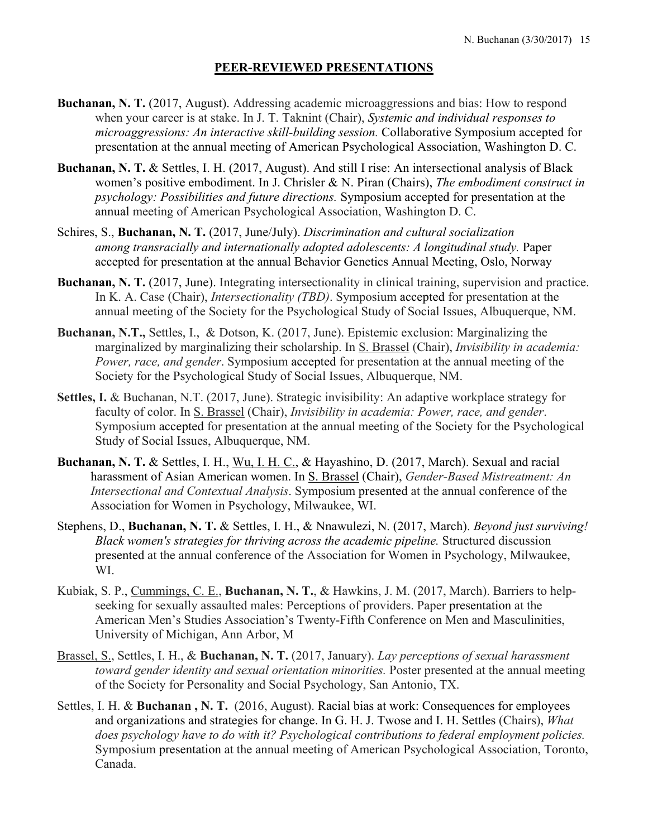#### **PEER-REVIEWED PRESENTATIONS**

- **Buchanan, N. T.** (2017, August). Addressing academic microaggressions and bias: How to respond when your career is at stake. In J. T. Taknint (Chair), *Systemic and individual responses to microaggressions: An interactive skill-building session.* Collaborative Symposium accepted for presentation at the annual meeting of American Psychological Association, Washington D. C.
- **Buchanan, N. T.** & Settles, I. H. (2017, August). And still I rise: An intersectional analysis of Black women's positive embodiment. In J. Chrisler & N. Piran (Chairs), *The embodiment construct in psychology: Possibilities and future directions.* Symposium accepted for presentation at the annual meeting of American Psychological Association, Washington D. C.
- Schires, S., **Buchanan, N. T.** (2017, June/July). *Discrimination and cultural socialization among transracially and internationally adopted adolescents: A longitudinal study.* Paper accepted for presentation at the annual Behavior Genetics Annual Meeting, Oslo, Norway
- **Buchanan, N. T.** (2017, June). Integrating intersectionality in clinical training, supervision and practice. In K. A. Case (Chair), *Intersectionality (TBD)*. Symposium accepted for presentation at the annual meeting of the Society for the Psychological Study of Social Issues, Albuquerque, NM.
- **Buchanan, N.T.,** Settles, I., & Dotson, K. (2017, June). Epistemic exclusion: Marginalizing the marginalized by marginalizing their scholarship. In S. Brassel (Chair), *Invisibility in academia: Power, race, and gender*. Symposium accepted for presentation at the annual meeting of the Society for the Psychological Study of Social Issues, Albuquerque, NM.
- **Settles, I.** & Buchanan, N.T. (2017, June). Strategic invisibility: An adaptive workplace strategy for faculty of color. In S. Brassel (Chair), *Invisibility in academia: Power, race, and gender*. Symposium accepted for presentation at the annual meeting of the Society for the Psychological Study of Social Issues, Albuquerque, NM.
- **Buchanan, N. T.** & Settles, I. H., Wu, I. H. C., & Hayashino, D. (2017, March). Sexual and racial harassment of Asian American women. In S. Brassel (Chair), *Gender-Based Mistreatment: An Intersectional and Contextual Analysis*. Symposium presented at the annual conference of the Association for Women in Psychology, Milwaukee, WI.
- Stephens, D., **Buchanan, N. T.** & Settles, I. H., & Nnawulezi, N. (2017, March). *Beyond just surviving! Black women's strategies for thriving across the academic pipeline.* Structured discussion presented at the annual conference of the Association for Women in Psychology, Milwaukee, WI.
- Kubiak, S. P., Cummings, C. E., **Buchanan, N. T.**, & Hawkins, J. M. (2017, March). Barriers to helpseeking for sexually assaulted males: Perceptions of providers. Paper presentation at the American Men's Studies Association's Twenty-Fifth Conference on Men and Masculinities, University of Michigan, Ann Arbor, M
- Brassel, S., Settles, I. H., & **Buchanan, N. T.** (2017, January). *Lay perceptions of sexual harassment toward gender identity and sexual orientation minorities.* Poster presented at the annual meeting of the Society for Personality and Social Psychology, San Antonio, TX.
- Settles, I. H. & **Buchanan , N. T.** (2016, August). Racial bias at work: Consequences for employees and organizations and strategies for change. In G. H. J. Twose and I. H. Settles (Chairs), *What does psychology have to do with it? Psychological contributions to federal employment policies.*  Symposium presentation at the annual meeting of American Psychological Association, Toronto, Canada.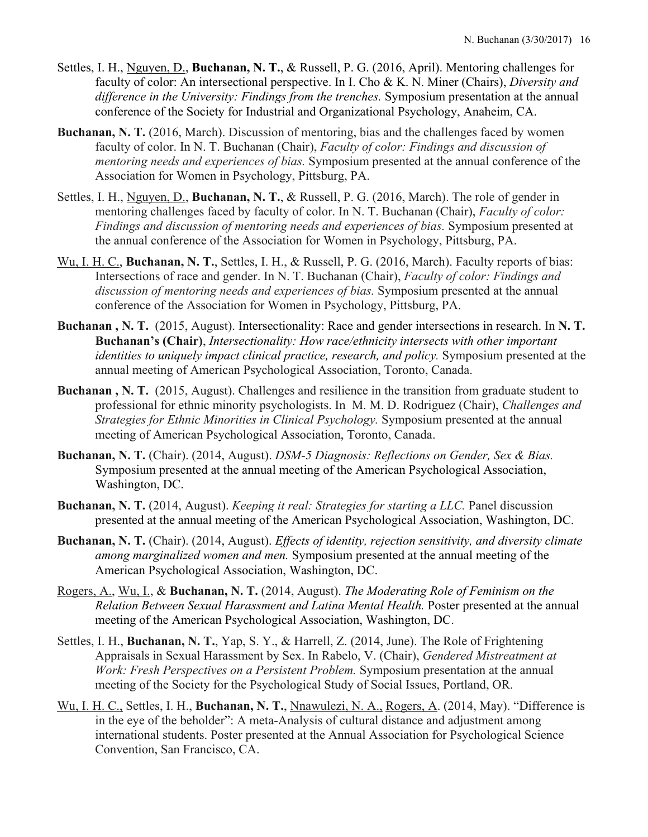- Settles, I. H., Nguyen, D., **Buchanan, N. T.**, & Russell, P. G. (2016, April). Mentoring challenges for faculty of color: An intersectional perspective. In I. Cho & K. N. Miner (Chairs), *Diversity and difference in the University: Findings from the trenches.* Symposium presentation at the annual conference of the Society for Industrial and Organizational Psychology, Anaheim, CA.
- **Buchanan, N. T.** (2016, March). Discussion of mentoring, bias and the challenges faced by women faculty of color. In N. T. Buchanan (Chair), *Faculty of color: Findings and discussion of mentoring needs and experiences of bias.* Symposium presented at the annual conference of the Association for Women in Psychology, Pittsburg, PA.
- Settles, I. H., Nguyen, D., **Buchanan, N. T.**, & Russell, P. G. (2016, March). The role of gender in mentoring challenges faced by faculty of color. In N. T. Buchanan (Chair), *Faculty of color: Findings and discussion of mentoring needs and experiences of bias.* Symposium presented at the annual conference of the Association for Women in Psychology, Pittsburg, PA.
- Wu, I. H. C., **Buchanan, N. T.**, Settles, I. H., & Russell, P. G. (2016, March). Faculty reports of bias: Intersections of race and gender. In N. T. Buchanan (Chair), *Faculty of color: Findings and discussion of mentoring needs and experiences of bias.* Symposium presented at the annual conference of the Association for Women in Psychology, Pittsburg, PA.
- **Buchanan , N. T.** (2015, August). Intersectionality: Race and gender intersections in research. In **N. T. Buchanan's (Chair)**, *Intersectionality: How race/ethnicity intersects with other important identities to uniquely impact clinical practice, research, and policy.* Symposium presented at the annual meeting of American Psychological Association, Toronto, Canada.
- **Buchanan , N. T.** (2015, August). Challenges and resilience in the transition from graduate student to professional for ethnic minority psychologists. In M. M. D. Rodriguez (Chair), *Challenges and Strategies for Ethnic Minorities in Clinical Psychology.* Symposium presented at the annual meeting of American Psychological Association, Toronto, Canada.
- **Buchanan, N. T.** (Chair). (2014, August). *DSM-5 Diagnosis: Reflections on Gender, Sex & Bias.* Symposium presented at the annual meeting of the American Psychological Association, Washington, DC.
- **Buchanan, N. T.** (2014, August). *Keeping it real: Strategies for starting a LLC.* Panel discussion presented at the annual meeting of the American Psychological Association, Washington, DC.
- **Buchanan, N. T.** (Chair). (2014, August). *Effects of identity, rejection sensitivity, and diversity climate among marginalized women and men.* Symposium presented at the annual meeting of the American Psychological Association, Washington, DC.
- Rogers, A., Wu, I., & **Buchanan, N. T.** (2014, August). *The Moderating Role of Feminism on the Relation Between Sexual Harassment and Latina Mental Health.* Poster presented at the annual meeting of the American Psychological Association, Washington, DC.
- Settles, I. H., **Buchanan, N. T.**, Yap, S. Y., & Harrell, Z. (2014, June). The Role of Frightening Appraisals in Sexual Harassment by Sex. In Rabelo, V. (Chair), *Gendered Mistreatment at Work: Fresh Perspectives on a Persistent Problem.* Symposium presentation at the annual meeting of the Society for the Psychological Study of Social Issues, Portland, OR.
- Wu, I. H. C., Settles, I. H., **Buchanan, N. T.**, Nnawulezi, N. A., Rogers, A. (2014, May). "Difference is in the eye of the beholder": A meta-Analysis of cultural distance and adjustment among international students. Poster presented at the Annual Association for Psychological Science Convention, San Francisco, CA.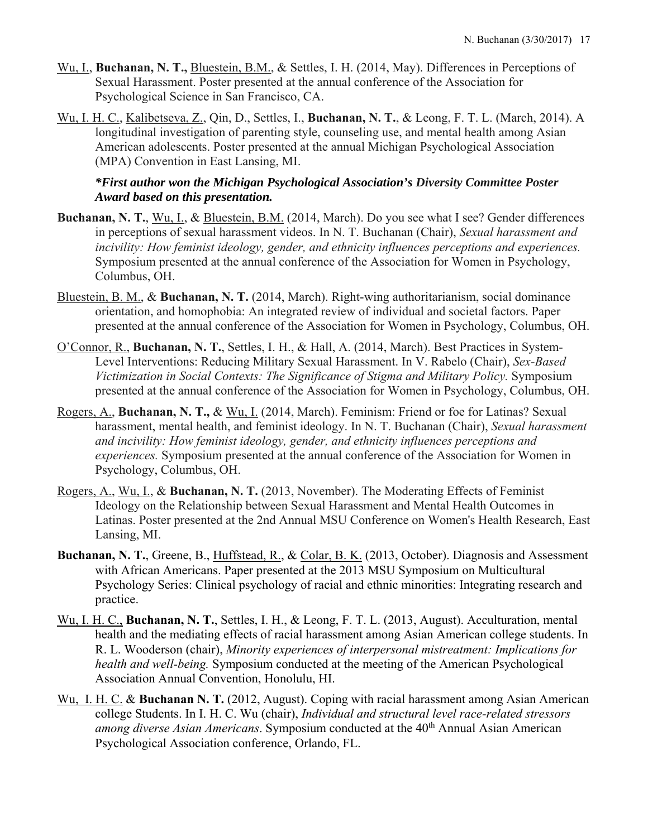- Wu, I., **Buchanan, N. T.,** Bluestein, B.M., & Settles, I. H. (2014, May). Differences in Perceptions of Sexual Harassment. Poster presented at the annual conference of the Association for Psychological Science in San Francisco, CA.
- Wu, I. H. C., Kalibetseva, Z., Qin, D., Settles, I., **Buchanan, N. T.**, & Leong, F. T. L. (March, 2014). A longitudinal investigation of parenting style, counseling use, and mental health among Asian American adolescents. Poster presented at the annual Michigan Psychological Association (MPA) Convention in East Lansing, MI.

# *\*First author won the Michigan Psychological Association's Diversity Committee Poster Award based on this presentation.*

- **Buchanan, N. T.**, Wu, I., & Bluestein, B.M. (2014, March). Do you see what I see? Gender differences in perceptions of sexual harassment videos. In N. T. Buchanan (Chair), *Sexual harassment and incivility: How feminist ideology, gender, and ethnicity influences perceptions and experiences.* Symposium presented at the annual conference of the Association for Women in Psychology, Columbus, OH.
- Bluestein, B. M., & **Buchanan, N. T.** (2014, March). Right-wing authoritarianism, social dominance orientation, and homophobia: An integrated review of individual and societal factors. Paper presented at the annual conference of the Association for Women in Psychology, Columbus, OH.
- O'Connor, R., **Buchanan, N. T.**, Settles, I. H., & Hall, A. (2014, March). Best Practices in System-Level Interventions: Reducing Military Sexual Harassment. In V. Rabelo (Chair), *Sex-Based Victimization in Social Contexts: The Significance of Stigma and Military Policy.* Symposium presented at the annual conference of the Association for Women in Psychology, Columbus, OH.
- Rogers, A., **Buchanan, N. T.,** & Wu, I. (2014, March). Feminism: Friend or foe for Latinas? Sexual harassment, mental health, and feminist ideology. In N. T. Buchanan (Chair), *Sexual harassment and incivility: How feminist ideology, gender, and ethnicity influences perceptions and experiences.* Symposium presented at the annual conference of the Association for Women in Psychology, Columbus, OH.
- Rogers, A., Wu, I., & **Buchanan, N. T.** (2013, November). The Moderating Effects of Feminist Ideology on the Relationship between Sexual Harassment and Mental Health Outcomes in Latinas. Poster presented at the 2nd Annual MSU Conference on Women's Health Research, East Lansing, MI.
- **Buchanan, N. T.**, Greene, B., Huffstead, R., & Colar, B. K. (2013, October). Diagnosis and Assessment with African Americans. Paper presented at the 2013 MSU Symposium on Multicultural Psychology Series: Clinical psychology of racial and ethnic minorities: Integrating research and practice.
- Wu, I. H. C., **Buchanan, N. T.**, Settles, I. H., & Leong, F. T. L. (2013, August). Acculturation, mental health and the mediating effects of racial harassment among Asian American college students. In R. L. Wooderson (chair), *Minority experiences of interpersonal mistreatment: Implications for health and well-being.* Symposium conducted at the meeting of the American Psychological Association Annual Convention, Honolulu, HI.
- Wu, I. H. C. & **Buchanan N. T.** (2012, August). Coping with racial harassment among Asian American college Students. In I. H. C. Wu (chair), *Individual and structural level race-related stressors among diverse Asian Americans*. Symposium conducted at the 40th Annual Asian American Psychological Association conference, Orlando, FL.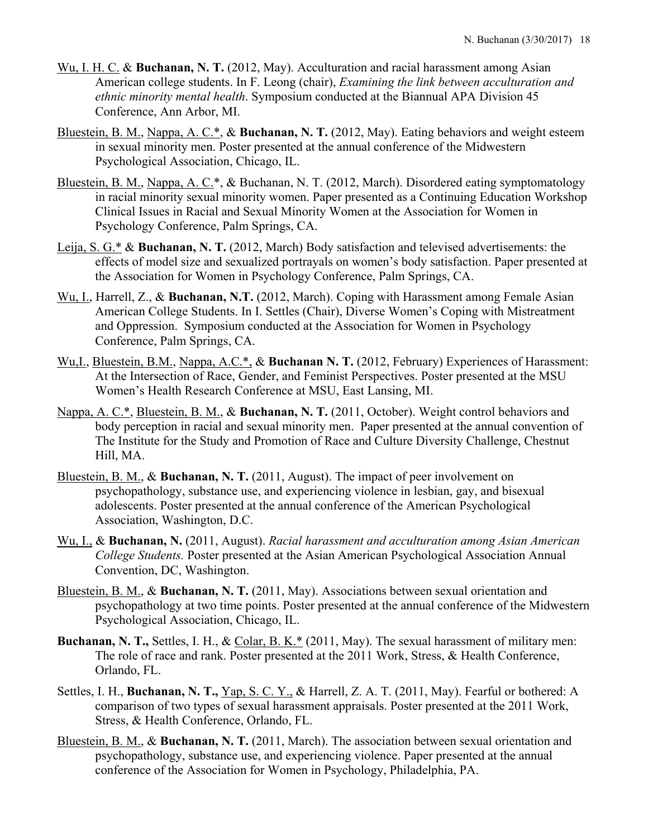- Wu, I. H. C. & **Buchanan, N. T.** (2012, May). Acculturation and racial harassment among Asian American college students. In F. Leong (chair), *Examining the link between acculturation and ethnic minority mental health*. Symposium conducted at the Biannual APA Division 45 Conference, Ann Arbor, MI.
- Bluestein, B. M., Nappa, A. C.\*, & **Buchanan, N. T.** (2012, May). Eating behaviors and weight esteem in sexual minority men. Poster presented at the annual conference of the Midwestern Psychological Association, Chicago, IL.
- Bluestein, B. M., Nappa, A. C.\*, & Buchanan, N. T. (2012, March). Disordered eating symptomatology in racial minority sexual minority women. Paper presented as a Continuing Education Workshop Clinical Issues in Racial and Sexual Minority Women at the Association for Women in Psychology Conference, Palm Springs, CA.
- Leija, S. G.\* & **Buchanan, N. T.** (2012, March) Body satisfaction and televised advertisements: the effects of model size and sexualized portrayals on women's body satisfaction. Paper presented at the Association for Women in Psychology Conference, Palm Springs, CA.
- Wu, I., Harrell, Z., & **Buchanan, N.T.** (2012, March). Coping with Harassment among Female Asian American College Students. In I. Settles (Chair), Diverse Women's Coping with Mistreatment and Oppression. Symposium conducted at the Association for Women in Psychology Conference, Palm Springs, CA.
- Wu,I., Bluestein, B.M., Nappa, A.C.\*, & **Buchanan N. T.** (2012, February) Experiences of Harassment: At the Intersection of Race, Gender, and Feminist Perspectives. Poster presented at the MSU Women's Health Research Conference at MSU, East Lansing, MI.
- Nappa, A. C.\*, Bluestein, B. M., & **Buchanan, N. T.** (2011, October). Weight control behaviors and body perception in racial and sexual minority men. Paper presented at the annual convention of The Institute for the Study and Promotion of Race and Culture Diversity Challenge, Chestnut Hill, MA.
- Bluestein, B. M., & **Buchanan, N. T.** (2011, August). The impact of peer involvement on psychopathology, substance use, and experiencing violence in lesbian, gay, and bisexual adolescents. Poster presented at the annual conference of the American Psychological Association, Washington, D.C.
- Wu, I., & **Buchanan, N.** (2011, August). *Racial harassment and acculturation among Asian American College Students.* Poster presented at the Asian American Psychological Association Annual Convention, DC, Washington.
- Bluestein, B. M., & **Buchanan, N. T.** (2011, May). Associations between sexual orientation and psychopathology at two time points. Poster presented at the annual conference of the Midwestern Psychological Association, Chicago, IL.
- **Buchanan, N. T.,** Settles, I. H., & Colar, B. K.\* (2011, May). The sexual harassment of military men: The role of race and rank. Poster presented at the 2011 Work, Stress, & Health Conference, Orlando, FL.
- Settles, I. H., **Buchanan, N. T.,** Yap, S. C. Y., & Harrell, Z. A. T. (2011, May). Fearful or bothered: A comparison of two types of sexual harassment appraisals. Poster presented at the 2011 Work, Stress, & Health Conference, Orlando, FL.
- Bluestein, B. M., & **Buchanan, N. T.** (2011, March). The association between sexual orientation and psychopathology, substance use, and experiencing violence. Paper presented at the annual conference of the Association for Women in Psychology, Philadelphia, PA.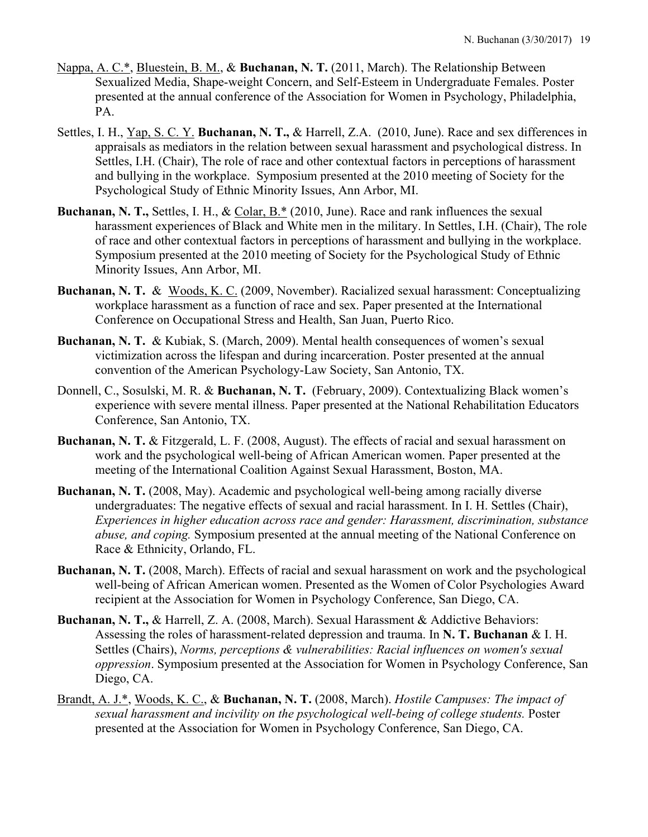- Nappa, A. C.\*, Bluestein, B. M., & **Buchanan, N. T.** (2011, March). The Relationship Between Sexualized Media, Shape-weight Concern, and Self-Esteem in Undergraduate Females. Poster presented at the annual conference of the Association for Women in Psychology, Philadelphia, PA.
- Settles, I. H., Yap, S. C. Y. **Buchanan, N. T.,** & Harrell, Z.A. (2010, June). Race and sex differences in appraisals as mediators in the relation between sexual harassment and psychological distress. In Settles, I.H. (Chair), The role of race and other contextual factors in perceptions of harassment and bullying in the workplace. Symposium presented at the 2010 meeting of Society for the Psychological Study of Ethnic Minority Issues, Ann Arbor, MI.
- **Buchanan, N. T., Settles, I. H., & Colar, B.\* (2010, June). Race and rank influences the sexual** harassment experiences of Black and White men in the military. In Settles, I.H. (Chair), The role of race and other contextual factors in perceptions of harassment and bullying in the workplace. Symposium presented at the 2010 meeting of Society for the Psychological Study of Ethnic Minority Issues, Ann Arbor, MI.
- **Buchanan, N. T.** & Woods, K. C. (2009, November). Racialized sexual harassment: Conceptualizing workplace harassment as a function of race and sex. Paper presented at the International Conference on Occupational Stress and Health, San Juan, Puerto Rico.
- **Buchanan, N. T.** & Kubiak, S. (March, 2009). Mental health consequences of women's sexual victimization across the lifespan and during incarceration. Poster presented at the annual convention of the American Psychology-Law Society, San Antonio, TX.
- Donnell, C., Sosulski, M. R. & **Buchanan, N. T.** (February, 2009). Contextualizing Black women's experience with severe mental illness. Paper presented at the National Rehabilitation Educators Conference, San Antonio, TX.
- **Buchanan, N. T.** & Fitzgerald, L. F. (2008, August). The effects of racial and sexual harassment on work and the psychological well-being of African American women. Paper presented at the meeting of the International Coalition Against Sexual Harassment, Boston, MA.
- **Buchanan, N. T.** (2008, May). Academic and psychological well-being among racially diverse undergraduates: The negative effects of sexual and racial harassment. In I. H. Settles (Chair), *Experiences in higher education across race and gender: Harassment, discrimination, substance abuse, and coping.* Symposium presented at the annual meeting of the National Conference on Race & Ethnicity, Orlando, FL.
- **Buchanan, N. T.** (2008, March). Effects of racial and sexual harassment on work and the psychological well-being of African American women. Presented as the Women of Color Psychologies Award recipient at the Association for Women in Psychology Conference, San Diego, CA.
- **Buchanan, N. T.,** & Harrell, Z. A. (2008, March). Sexual Harassment & Addictive Behaviors: Assessing the roles of harassment-related depression and trauma. In **N. T. Buchanan** & I. H. Settles (Chairs), *Norms, perceptions & vulnerabilities: Racial influences on women's sexual oppression*. Symposium presented at the Association for Women in Psychology Conference, San Diego, CA.
- Brandt, A. J.\*, Woods, K. C., & **Buchanan, N. T.** (2008, March). *Hostile Campuses: The impact of sexual harassment and incivility on the psychological well-being of college students.* Poster presented at the Association for Women in Psychology Conference, San Diego, CA.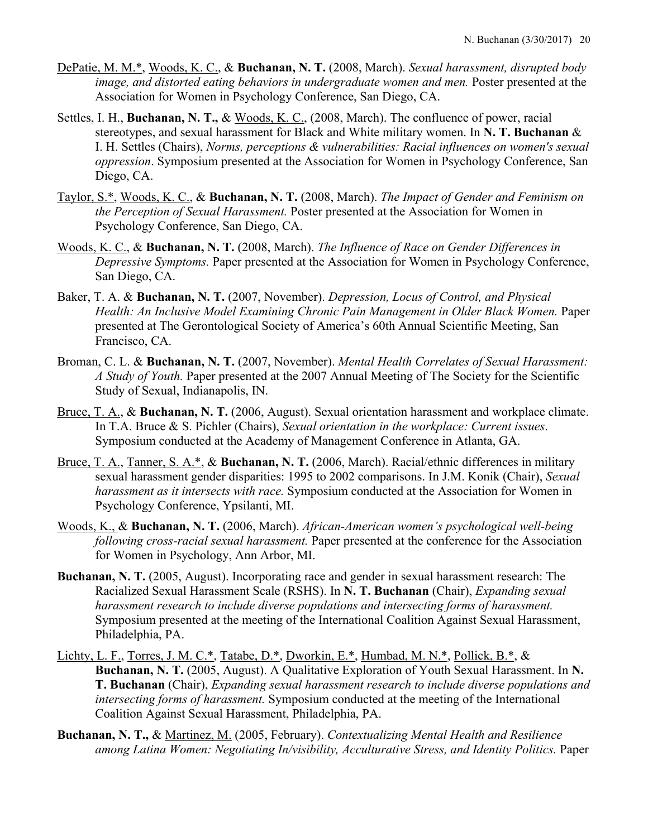- DePatie, M. M.\*, Woods, K. C., & **Buchanan, N. T.** (2008, March). *Sexual harassment, disrupted body image, and distorted eating behaviors in undergraduate women and men.* Poster presented at the Association for Women in Psychology Conference, San Diego, CA.
- Settles, I. H., **Buchanan, N. T.,** & Woods, K. C., (2008, March). The confluence of power, racial stereotypes, and sexual harassment for Black and White military women. In **N. T. Buchanan** & I. H. Settles (Chairs), *Norms, perceptions & vulnerabilities: Racial influences on women's sexual oppression*. Symposium presented at the Association for Women in Psychology Conference, San Diego, CA.
- Taylor, S.\*, Woods, K. C., & **Buchanan, N. T.** (2008, March). *The Impact of Gender and Feminism on the Perception of Sexual Harassment.* Poster presented at the Association for Women in Psychology Conference, San Diego, CA.
- Woods, K. C., & **Buchanan, N. T.** (2008, March). *The Influence of Race on Gender Differences in Depressive Symptoms.* Paper presented at the Association for Women in Psychology Conference, San Diego, CA.
- Baker, T. A. & **Buchanan, N. T.** (2007, November). *Depression, Locus of Control, and Physical*  Health: An Inclusive Model Examining Chronic Pain Management in Older Black Women. Paper presented at The Gerontological Society of America's 60th Annual Scientific Meeting, San Francisco, CA.
- Broman, C. L. & **Buchanan, N. T.** (2007, November). *Mental Health Correlates of Sexual Harassment: A Study of Youth.* Paper presented at the 2007 Annual Meeting of The Society for the Scientific Study of Sexual, Indianapolis, IN.
- Bruce, T. A., & **Buchanan, N. T.** (2006, August). Sexual orientation harassment and workplace climate. In T.A. Bruce & S. Pichler (Chairs), *Sexual orientation in the workplace: Current issues*. Symposium conducted at the Academy of Management Conference in Atlanta, GA.
- Bruce, T. A., Tanner, S. A.\*, & **Buchanan, N. T.** (2006, March). Racial/ethnic differences in military sexual harassment gender disparities: 1995 to 2002 comparisons. In J.M. Konik (Chair), *Sexual harassment as it intersects with race.* Symposium conducted at the Association for Women in Psychology Conference, Ypsilanti, MI.
- Woods, K., & **Buchanan, N. T.** (2006, March). *African-American women's psychological well-being following cross-racial sexual harassment.* Paper presented at the conference for the Association for Women in Psychology, Ann Arbor, MI.
- **Buchanan, N. T.** (2005, August). Incorporating race and gender in sexual harassment research: The Racialized Sexual Harassment Scale (RSHS). In **N. T. Buchanan** (Chair), *Expanding sexual harassment research to include diverse populations and intersecting forms of harassment.*  Symposium presented at the meeting of the International Coalition Against Sexual Harassment, Philadelphia, PA.
- Lichty, L. F., Torres, J. M. C.\*, Tatabe, D.\*, Dworkin, E.\*, Humbad, M. N.\*, Pollick, B.\*, & **Buchanan, N. T.** (2005, August). A Qualitative Exploration of Youth Sexual Harassment. In **N. T. Buchanan** (Chair), *Expanding sexual harassment research to include diverse populations and intersecting forms of harassment.* Symposium conducted at the meeting of the International Coalition Against Sexual Harassment, Philadelphia, PA.
- **Buchanan, N. T.,** & Martinez, M. (2005, February). *Contextualizing Mental Health and Resilience among Latina Women: Negotiating In/visibility, Acculturative Stress, and Identity Politics.* Paper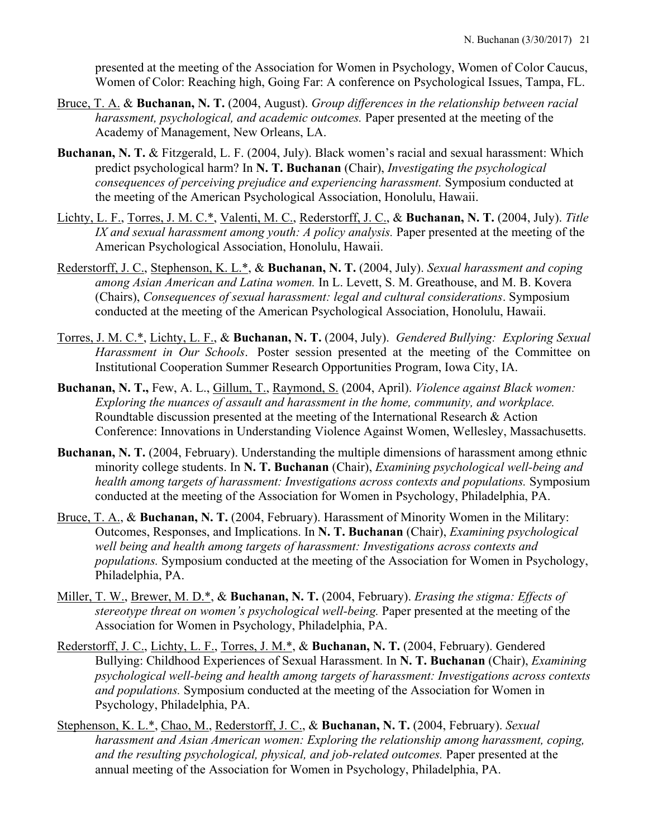presented at the meeting of the Association for Women in Psychology, Women of Color Caucus, Women of Color: Reaching high, Going Far: A conference on Psychological Issues, Tampa, FL.

- Bruce, T. A. & **Buchanan, N. T.** (2004, August). *Group differences in the relationship between racial harassment, psychological, and academic outcomes.* Paper presented at the meeting of the Academy of Management, New Orleans, LA.
- **Buchanan, N. T.** & Fitzgerald, L. F. (2004, July). Black women's racial and sexual harassment: Which predict psychological harm? In **N. T. Buchanan** (Chair), *Investigating the psychological consequences of perceiving prejudice and experiencing harassment.* Symposium conducted at the meeting of the American Psychological Association, Honolulu, Hawaii.
- Lichty, L. F., Torres, J. M. C.\*, Valenti, M. C., Rederstorff, J. C., & **Buchanan, N. T.** (2004, July). *Title IX and sexual harassment among youth: A policy analysis.* Paper presented at the meeting of the American Psychological Association, Honolulu, Hawaii.
- Rederstorff, J. C., Stephenson, K. L.\*, & **Buchanan, N. T.** (2004, July). *Sexual harassment and coping among Asian American and Latina women.* In L. Levett, S. M. Greathouse, and M. B. Kovera (Chairs), *Consequences of sexual harassment: legal and cultural considerations*. Symposium conducted at the meeting of the American Psychological Association, Honolulu, Hawaii.
- Torres, J. M. C.\*, Lichty, L. F., & **Buchanan, N. T.** (2004, July). *Gendered Bullying: Exploring Sexual Harassment in Our Schools*. Poster session presented at the meeting of the Committee on Institutional Cooperation Summer Research Opportunities Program, Iowa City, IA.
- **Buchanan, N. T.,** Few, A. L., Gillum, T., Raymond, S. (2004, April). *Violence against Black women: Exploring the nuances of assault and harassment in the home, community, and workplace.* Roundtable discussion presented at the meeting of the International Research & Action Conference: Innovations in Understanding Violence Against Women, Wellesley, Massachusetts.
- **Buchanan, N. T.** (2004, February). Understanding the multiple dimensions of harassment among ethnic minority college students. In **N. T. Buchanan** (Chair), *Examining psychological well-being and health among targets of harassment: Investigations across contexts and populations.* Symposium conducted at the meeting of the Association for Women in Psychology, Philadelphia, PA.
- Bruce, T. A., & **Buchanan, N. T.** (2004, February). Harassment of Minority Women in the Military: Outcomes, Responses, and Implications. In **N. T. Buchanan** (Chair), *Examining psychological well being and health among targets of harassment: Investigations across contexts and populations.* Symposium conducted at the meeting of the Association for Women in Psychology, Philadelphia, PA.
- Miller, T. W., Brewer, M. D.\*, & **Buchanan, N. T.** (2004, February). *Erasing the stigma: Effects of stereotype threat on women's psychological well-being.* Paper presented at the meeting of the Association for Women in Psychology, Philadelphia, PA.
- Rederstorff, J. C., Lichty, L. F., Torres, J. M.\*, & **Buchanan, N. T.** (2004, February). Gendered Bullying: Childhood Experiences of Sexual Harassment. In **N. T. Buchanan** (Chair), *Examining psychological well-being and health among targets of harassment: Investigations across contexts and populations.* Symposium conducted at the meeting of the Association for Women in Psychology, Philadelphia, PA.
- Stephenson, K. L.\*, Chao, M., Rederstorff, J. C., & **Buchanan, N. T.** (2004, February). *Sexual harassment and Asian American women: Exploring the relationship among harassment, coping, and the resulting psychological, physical, and job-related outcomes.* Paper presented at the annual meeting of the Association for Women in Psychology, Philadelphia, PA.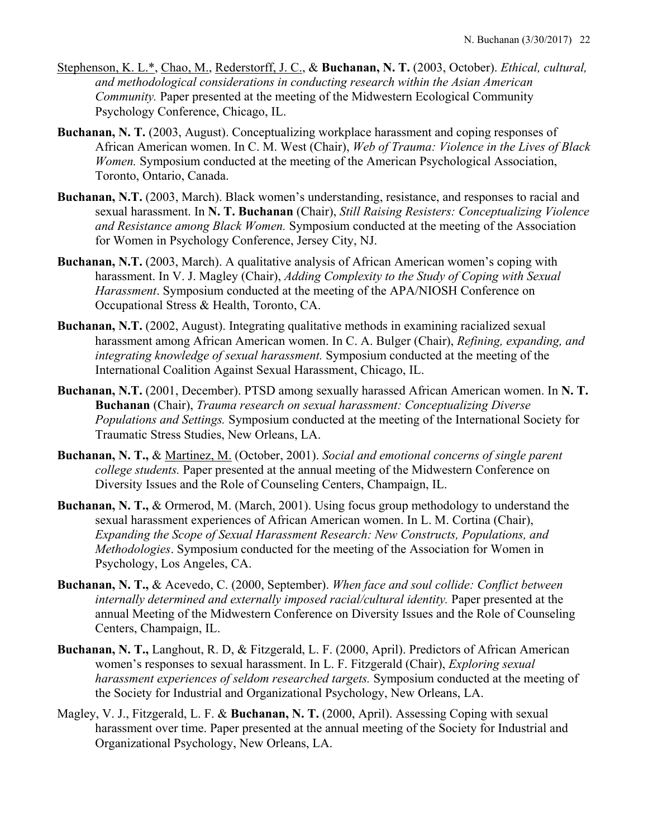- Stephenson, K. L.\*, Chao, M., Rederstorff, J. C., & **Buchanan, N. T.** (2003, October). *Ethical, cultural, and methodological considerations in conducting research within the Asian American Community.* Paper presented at the meeting of the Midwestern Ecological Community Psychology Conference, Chicago, IL.
- **Buchanan, N. T.** (2003, August). Conceptualizing workplace harassment and coping responses of African American women. In C. M. West (Chair), *Web of Trauma: Violence in the Lives of Black Women.* Symposium conducted at the meeting of the American Psychological Association, Toronto, Ontario, Canada.
- **Buchanan, N.T.** (2003, March). Black women's understanding, resistance, and responses to racial and sexual harassment. In **N. T. Buchanan** (Chair), *Still Raising Resisters: Conceptualizing Violence and Resistance among Black Women.* Symposium conducted at the meeting of the Association for Women in Psychology Conference, Jersey City, NJ.
- **Buchanan, N.T.** (2003, March). A qualitative analysis of African American women's coping with harassment. In V. J. Magley (Chair), *Adding Complexity to the Study of Coping with Sexual Harassment*. Symposium conducted at the meeting of the APA/NIOSH Conference on Occupational Stress & Health, Toronto, CA.
- **Buchanan, N.T.** (2002, August). Integrating qualitative methods in examining racialized sexual harassment among African American women. In C. A. Bulger (Chair), *Refining, expanding, and integrating knowledge of sexual harassment.* Symposium conducted at the meeting of the International Coalition Against Sexual Harassment, Chicago, IL.
- **Buchanan, N.T.** (2001, December). PTSD among sexually harassed African American women. In **N. T. Buchanan** (Chair), *Trauma research on sexual harassment: Conceptualizing Diverse Populations and Settings.* Symposium conducted at the meeting of the International Society for Traumatic Stress Studies, New Orleans, LA.
- **Buchanan, N. T.,** & Martinez, M. (October, 2001). *Social and emotional concerns of single parent college students.* Paper presented at the annual meeting of the Midwestern Conference on Diversity Issues and the Role of Counseling Centers, Champaign, IL.
- **Buchanan, N. T.,** & Ormerod, M. (March, 2001). Using focus group methodology to understand the sexual harassment experiences of African American women. In L. M. Cortina (Chair), *Expanding the Scope of Sexual Harassment Research: New Constructs, Populations, and Methodologies*. Symposium conducted for the meeting of the Association for Women in Psychology, Los Angeles, CA.
- **Buchanan, N. T.,** & Acevedo, C. (2000, September). *When face and soul collide: Conflict between internally determined and externally imposed racial/cultural identity.* Paper presented at the annual Meeting of the Midwestern Conference on Diversity Issues and the Role of Counseling Centers, Champaign, IL.
- **Buchanan, N. T.,** Langhout, R. D, & Fitzgerald, L. F. (2000, April). Predictors of African American women's responses to sexual harassment. In L. F. Fitzgerald (Chair), *Exploring sexual harassment experiences of seldom researched targets.* Symposium conducted at the meeting of the Society for Industrial and Organizational Psychology, New Orleans, LA.
- Magley, V. J., Fitzgerald, L. F. & **Buchanan, N. T.** (2000, April). Assessing Coping with sexual harassment over time. Paper presented at the annual meeting of the Society for Industrial and Organizational Psychology, New Orleans, LA.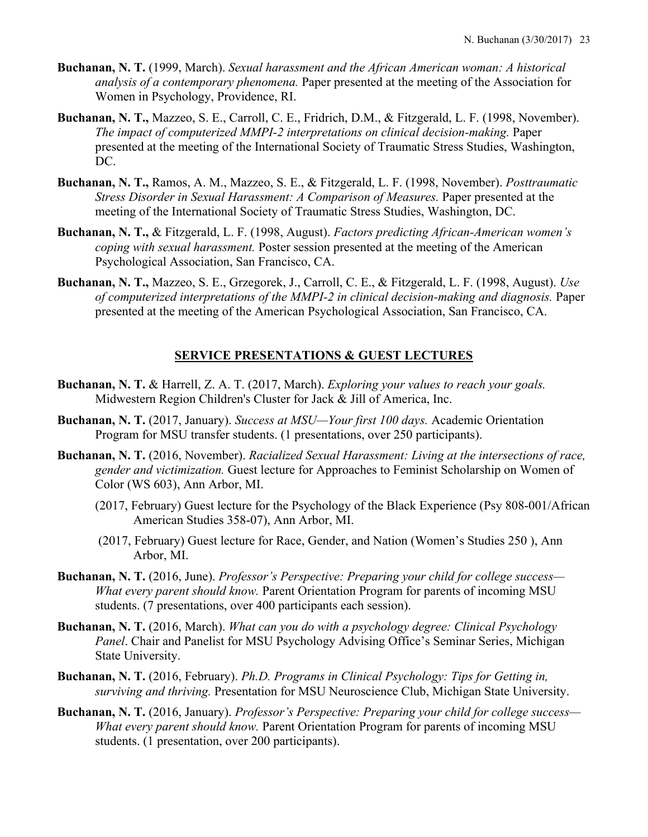- **Buchanan, N. T.** (1999, March). *Sexual harassment and the African American woman: A historical analysis of a contemporary phenomena.* Paper presented at the meeting of the Association for Women in Psychology, Providence, RI.
- **Buchanan, N. T.,** Mazzeo, S. E., Carroll, C. E., Fridrich, D.M., & Fitzgerald, L. F. (1998, November). *The impact of computerized MMPI-2 interpretations on clinical decision-making.* Paper presented at the meeting of the International Society of Traumatic Stress Studies, Washington, DC.
- **Buchanan, N. T.,** Ramos, A. M., Mazzeo, S. E., & Fitzgerald, L. F. (1998, November). *Posttraumatic Stress Disorder in Sexual Harassment: A Comparison of Measures.* Paper presented at the meeting of the International Society of Traumatic Stress Studies, Washington, DC.
- **Buchanan, N. T.,** & Fitzgerald, L. F. (1998, August). *Factors predicting African-American women's coping with sexual harassment.* Poster session presented at the meeting of the American Psychological Association, San Francisco, CA.
- **Buchanan, N. T.,** Mazzeo, S. E., Grzegorek, J., Carroll, C. E., & Fitzgerald, L. F. (1998, August). *Use of computerized interpretations of the MMPI-2 in clinical decision-making and diagnosis.* Paper presented at the meeting of the American Psychological Association, San Francisco, CA.

# **SERVICE PRESENTATIONS & GUEST LECTURES**

- **Buchanan, N. T.** & Harrell, Z. A. T. (2017, March). *Exploring your values to reach your goals.* Midwestern Region Children's Cluster for Jack & Jill of America, Inc.
- **Buchanan, N. T.** (2017, January). *Success at MSU—Your first 100 days.* Academic Orientation Program for MSU transfer students. (1 presentations, over 250 participants).
- **Buchanan, N. T.** (2016, November). *Racialized Sexual Harassment: Living at the intersections of race, gender and victimization.* Guest lecture for Approaches to Feminist Scholarship on Women of Color (WS 603), Ann Arbor, MI.
	- (2017, February) Guest lecture for the Psychology of the Black Experience (Psy 808-001/African American Studies 358-07), Ann Arbor, MI.
	- (2017, February) Guest lecture for Race, Gender, and Nation (Women's Studies 250 ), Ann Arbor, MI.
- **Buchanan, N. T.** (2016, June). *Professor's Perspective: Preparing your child for college success— What every parent should know.* Parent Orientation Program for parents of incoming MSU students. (7 presentations, over 400 participants each session).
- **Buchanan, N. T.** (2016, March). *What can you do with a psychology degree: Clinical Psychology Panel*. Chair and Panelist for MSU Psychology Advising Office's Seminar Series, Michigan State University.
- **Buchanan, N. T.** (2016, February). *Ph.D. Programs in Clinical Psychology: Tips for Getting in, surviving and thriving.* Presentation for MSU Neuroscience Club, Michigan State University.
- **Buchanan, N. T.** (2016, January). *Professor's Perspective: Preparing your child for college success— What every parent should know.* Parent Orientation Program for parents of incoming MSU students. (1 presentation, over 200 participants).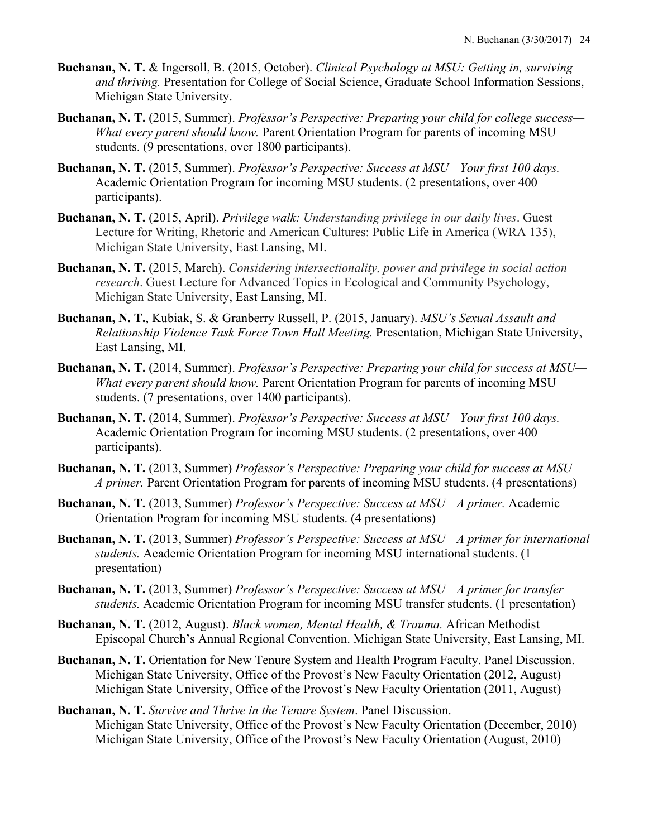- **Buchanan, N. T.** & Ingersoll, B. (2015, October). *Clinical Psychology at MSU: Getting in, surviving and thriving.* Presentation for College of Social Science, Graduate School Information Sessions, Michigan State University.
- **Buchanan, N. T.** (2015, Summer). *Professor's Perspective: Preparing your child for college success— What every parent should know.* Parent Orientation Program for parents of incoming MSU students. (9 presentations, over 1800 participants).
- **Buchanan, N. T.** (2015, Summer). *Professor's Perspective: Success at MSU—Your first 100 days.*  Academic Orientation Program for incoming MSU students. (2 presentations, over 400 participants).
- **Buchanan, N. T.** (2015, April). *Privilege walk: Understanding privilege in our daily lives*. Guest Lecture for Writing, Rhetoric and American Cultures: Public Life in America (WRA 135), Michigan State University, East Lansing, MI.
- **Buchanan, N. T.** (2015, March). *Considering intersectionality, power and privilege in social action research*. Guest Lecture for Advanced Topics in Ecological and Community Psychology, Michigan State University, East Lansing, MI.
- **Buchanan, N. T.**, Kubiak, S. & Granberry Russell, P. (2015, January). *MSU's Sexual Assault and Relationship Violence Task Force Town Hall Meeting.* Presentation, Michigan State University, East Lansing, MI.
- **Buchanan, N. T.** (2014, Summer). *Professor's Perspective: Preparing your child for success at MSU— What every parent should know.* Parent Orientation Program for parents of incoming MSU students. (7 presentations, over 1400 participants).
- **Buchanan, N. T.** (2014, Summer). *Professor's Perspective: Success at MSU—Your first 100 days.*  Academic Orientation Program for incoming MSU students. (2 presentations, over 400 participants).
- **Buchanan, N. T.** (2013, Summer) *Professor's Perspective: Preparing your child for success at MSU— A primer.* Parent Orientation Program for parents of incoming MSU students. (4 presentations)
- **Buchanan, N. T.** (2013, Summer) *Professor's Perspective: Success at MSU—A primer.* Academic Orientation Program for incoming MSU students. (4 presentations)
- **Buchanan, N. T.** (2013, Summer) *Professor's Perspective: Success at MSU—A primer for international students.* Academic Orientation Program for incoming MSU international students. (1 presentation)
- **Buchanan, N. T.** (2013, Summer) *Professor's Perspective: Success at MSU—A primer for transfer students.* Academic Orientation Program for incoming MSU transfer students. (1 presentation)
- **Buchanan, N. T.** (2012, August). *Black women, Mental Health, & Trauma.* African Methodist Episcopal Church's Annual Regional Convention. Michigan State University, East Lansing, MI.
- **Buchanan, N. T.** Orientation for New Tenure System and Health Program Faculty. Panel Discussion. Michigan State University, Office of the Provost's New Faculty Orientation (2012, August) Michigan State University, Office of the Provost's New Faculty Orientation (2011, August)
- **Buchanan, N. T.** *Survive and Thrive in the Tenure System*. Panel Discussion. Michigan State University, Office of the Provost's New Faculty Orientation (December, 2010) Michigan State University, Office of the Provost's New Faculty Orientation (August, 2010)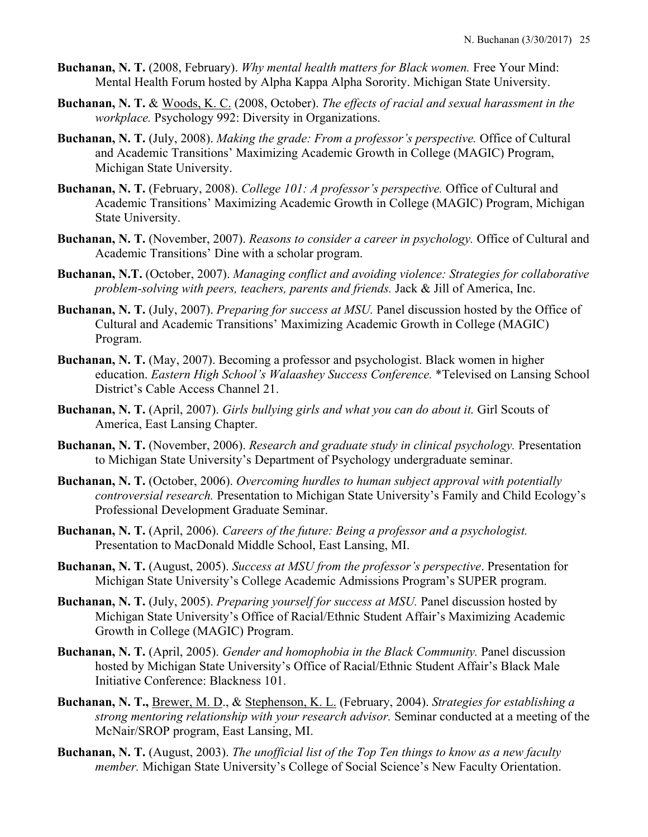- **Buchanan, N. T.** (2008, February). *Why mental health matters for Black women.* Free Your Mind: Mental Health Forum hosted by Alpha Kappa Alpha Sorority. Michigan State University.
- **Buchanan, N. T.** & Woods, K. C. (2008, October). *The effects of racial and sexual harassment in the workplace.* Psychology 992: Diversity in Organizations.
- **Buchanan, N. T.** (July, 2008). *Making the grade: From a professor's perspective.* Office of Cultural and Academic Transitions' Maximizing Academic Growth in College (MAGIC) Program, Michigan State University.
- **Buchanan, N. T.** (February, 2008). *College 101: A professor's perspective.* Office of Cultural and Academic Transitions' Maximizing Academic Growth in College (MAGIC) Program, Michigan State University.
- **Buchanan, N. T.** (November, 2007). *Reasons to consider a career in psychology.* Office of Cultural and Academic Transitions' Dine with a scholar program.
- **Buchanan, N.T.** (October, 2007). *Managing conflict and avoiding violence: Strategies for collaborative problem-solving with peers, teachers, parents and friends.* Jack & Jill of America, Inc.
- **Buchanan, N. T.** (July, 2007). *Preparing for success at MSU.* Panel discussion hosted by the Office of Cultural and Academic Transitions' Maximizing Academic Growth in College (MAGIC) Program.
- **Buchanan, N. T.** (May, 2007). Becoming a professor and psychologist. Black women in higher education. *Eastern High School's Walaashey Success Conference.* \*Televised on Lansing School District's Cable Access Channel 21.
- **Buchanan, N. T.** (April, 2007). *Girls bullying girls and what you can do about it.* Girl Scouts of America, East Lansing Chapter.
- **Buchanan, N. T.** (November, 2006). *Research and graduate study in clinical psychology.* Presentation to Michigan State University's Department of Psychology undergraduate seminar.
- **Buchanan, N. T.** (October, 2006). *Overcoming hurdles to human subject approval with potentially controversial research.* Presentation to Michigan State University's Family and Child Ecology's Professional Development Graduate Seminar.
- **Buchanan, N. T.** (April, 2006). *Careers of the future: Being a professor and a psychologist.* Presentation to MacDonald Middle School, East Lansing, MI.
- **Buchanan, N. T.** (August, 2005). *Success at MSU from the professor's perspective*. Presentation for Michigan State University's College Academic Admissions Program's SUPER program.
- **Buchanan, N. T.** (July, 2005). *Preparing yourself for success at MSU.* Panel discussion hosted by Michigan State University's Office of Racial/Ethnic Student Affair's Maximizing Academic Growth in College (MAGIC) Program.
- **Buchanan, N. T.** (April, 2005). *Gender and homophobia in the Black Community.* Panel discussion hosted by Michigan State University's Office of Racial/Ethnic Student Affair's Black Male Initiative Conference: Blackness 101.
- **Buchanan, N. T.,** Brewer, M. D., & Stephenson, K. L. (February, 2004). *Strategies for establishing a strong mentoring relationship with your research advisor.* Seminar conducted at a meeting of the McNair/SROP program, East Lansing, MI.
- **Buchanan, N. T.** (August, 2003). *The unofficial list of the Top Ten things to know as a new faculty member.* Michigan State University's College of Social Science's New Faculty Orientation.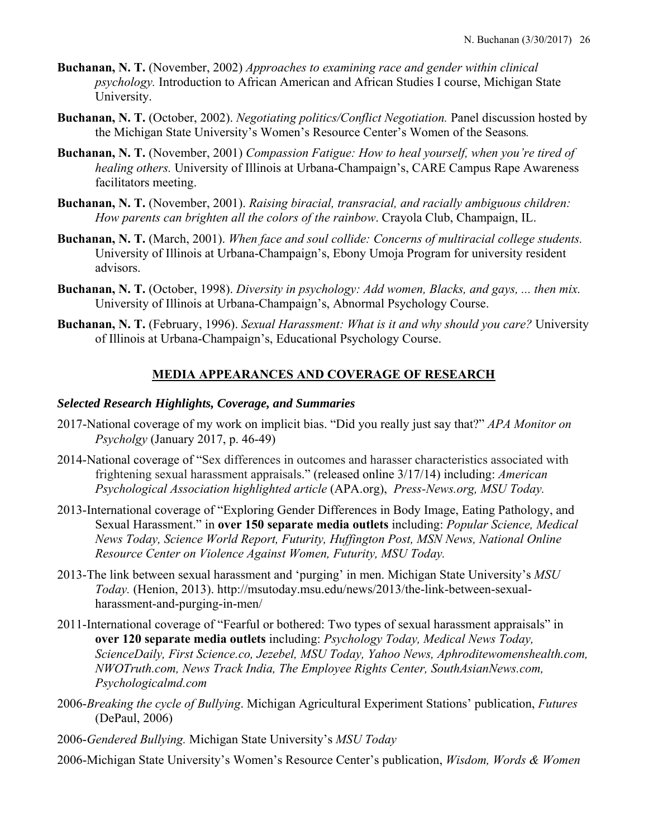- **Buchanan, N. T.** (November, 2002) *Approaches to examining race and gender within clinical psychology.* Introduction to African American and African Studies I course, Michigan State University.
- **Buchanan, N. T.** (October, 2002). *Negotiating politics/Conflict Negotiation.* Panel discussion hosted by the Michigan State University's Women's Resource Center's Women of the Seasons*.*
- **Buchanan, N. T.** (November, 2001) *Compassion Fatigue: How to heal yourself, when you're tired of healing others.* University of Illinois at Urbana-Champaign's, CARE Campus Rape Awareness facilitators meeting.
- **Buchanan, N. T.** (November, 2001). *Raising biracial, transracial, and racially ambiguous children: How parents can brighten all the colors of the rainbow*. Crayola Club, Champaign, IL.
- **Buchanan, N. T.** (March, 2001). *When face and soul collide: Concerns of multiracial college students.*  University of Illinois at Urbana-Champaign's, Ebony Umoja Program for university resident advisors.
- **Buchanan, N. T.** (October, 1998). *Diversity in psychology: Add women, Blacks, and gays, ... then mix.* University of Illinois at Urbana-Champaign's, Abnormal Psychology Course.
- **Buchanan, N. T.** (February, 1996). *Sexual Harassment: What is it and why should you care?* University of Illinois at Urbana-Champaign's, Educational Psychology Course.

# **MEDIA APPEARANCES AND COVERAGE OF RESEARCH**

### *Selected Research Highlights, Coverage, and Summaries*

- 2017-National coverage of my work on implicit bias. "Did you really just say that?" *APA Monitor on Psycholgy* (January 2017, p. 46-49)
- 2014-National coverage of "Sex differences in outcomes and harasser characteristics associated with frightening sexual harassment appraisals." (released online 3/17/14) including: *American Psychological Association highlighted article* (APA.org), *Press-News.org, MSU Today.*
- 2013-International coverage of "Exploring Gender Differences in Body Image, Eating Pathology, and Sexual Harassment." in **over 150 separate media outlets** including: *Popular Science, Medical News Today, Science World Report, Futurity, Huffington Post, MSN News, National Online Resource Center on Violence Against Women, Futurity, MSU Today.*
- 2013-The link between sexual harassment and 'purging' in men. Michigan State University's *MSU Today.* (Henion, 2013). http://msutoday.msu.edu/news/2013/the-link-between-sexualharassment-and-purging-in-men/
- 2011-International coverage of "Fearful or bothered: Two types of sexual harassment appraisals" in **over 120 separate media outlets** including: *Psychology Today, Medical News Today, ScienceDaily, First Science.co, Jezebel, MSU Today, Yahoo News, Aphroditewomenshealth.com, NWOTruth.com, News Track India, The Employee Rights Center, SouthAsianNews.com, Psychologicalmd.com*
- 2006-*Breaking the cycle of Bullying*. Michigan Agricultural Experiment Stations' publication, *Futures* (DePaul, 2006)
- 2006-*Gendered Bullying.* Michigan State University's *MSU Today*

2006-Michigan State University's Women's Resource Center's publication, *Wisdom, Words & Women*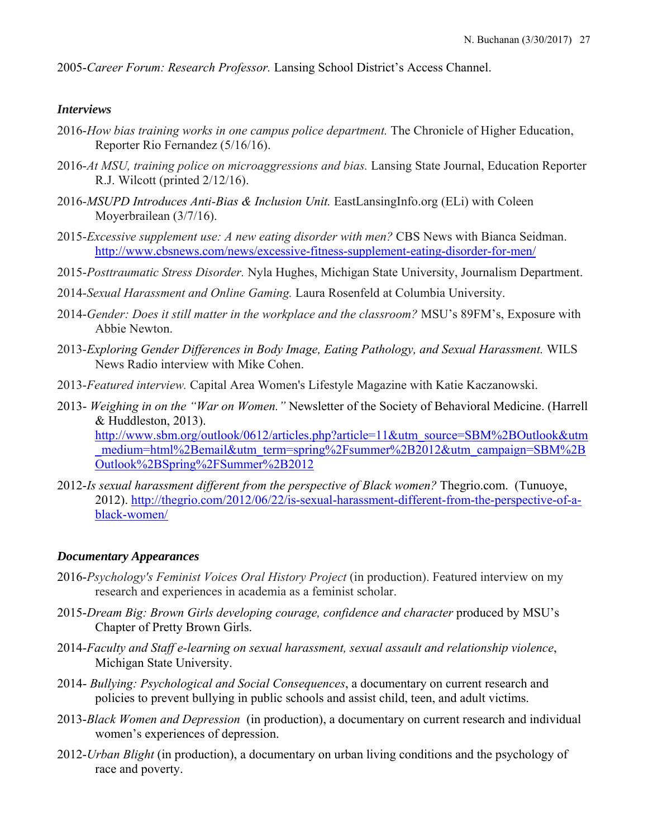2005-*Career Forum: Research Professor.* Lansing School District's Access Channel.

# *Interviews*

- 2016-*How bias training works in one campus police department.* The Chronicle of Higher Education, Reporter Rio Fernandez (5/16/16).
- 2016-*At MSU, training police on microaggressions and bias.* Lansing State Journal, Education Reporter R.J. Wilcott (printed 2/12/16).
- 2016-*MSUPD Introduces Anti-Bias & Inclusion Unit.* EastLansingInfo.org (ELi) with Coleen Moyerbrailean (3/7/16).
- 2015-*Excessive supplement use: A new eating disorder with men?* CBS News with Bianca Seidman. http://www.cbsnews.com/news/excessive-fitness-supplement-eating-disorder-for-men/
- 2015-*Posttraumatic Stress Disorder.* Nyla Hughes, Michigan State University, Journalism Department.
- 2014-*Sexual Harassment and Online Gaming.* Laura Rosenfeld at Columbia University.
- 2014-*Gender: Does it still matter in the workplace and the classroom?* MSU's 89FM's, Exposure with Abbie Newton.
- 2013-*Exploring Gender Differences in Body Image, Eating Pathology, and Sexual Harassment.* WILS News Radio interview with Mike Cohen.
- 2013-*Featured interview.* Capital Area Women's Lifestyle Magazine with Katie Kaczanowski.
- 2013- *Weighing in on the "War on Women."* Newsletter of the Society of Behavioral Medicine. (Harrell & Huddleston, 2013).

http://www.sbm.org/outlook/0612/articles.php?article=11&utm\_source=SBM%2BOutlook&utm medium=html%2Bemail&utm\_term=spring%2Fsummer%2B2012&utm\_campaign=SBM%2B Outlook%2BSpring%2FSummer%2B2012

2012-*Is sexual harassment different from the perspective of Black women?* Thegrio.com. (Tunuoye, 2012). http://thegrio.com/2012/06/22/is-sexual-harassment-different-from-the-perspective-of-ablack-women/

# *Documentary Appearances*

- 2016-*Psychology's Feminist Voices Oral History Project* (in production). Featured interview on my research and experiences in academia as a feminist scholar.
- 2015-*Dream Big: Brown Girls developing courage, confidence and character* produced by MSU's Chapter of Pretty Brown Girls.
- 2014-*Faculty and Staff e-learning on sexual harassment, sexual assault and relationship violence*, Michigan State University.
- 2014- *Bullying: Psychological and Social Consequences*, a documentary on current research and policies to prevent bullying in public schools and assist child, teen, and adult victims.
- 2013-*Black Women and Depression* (in production), a documentary on current research and individual women's experiences of depression.
- 2012-*Urban Blight* (in production), a documentary on urban living conditions and the psychology of race and poverty.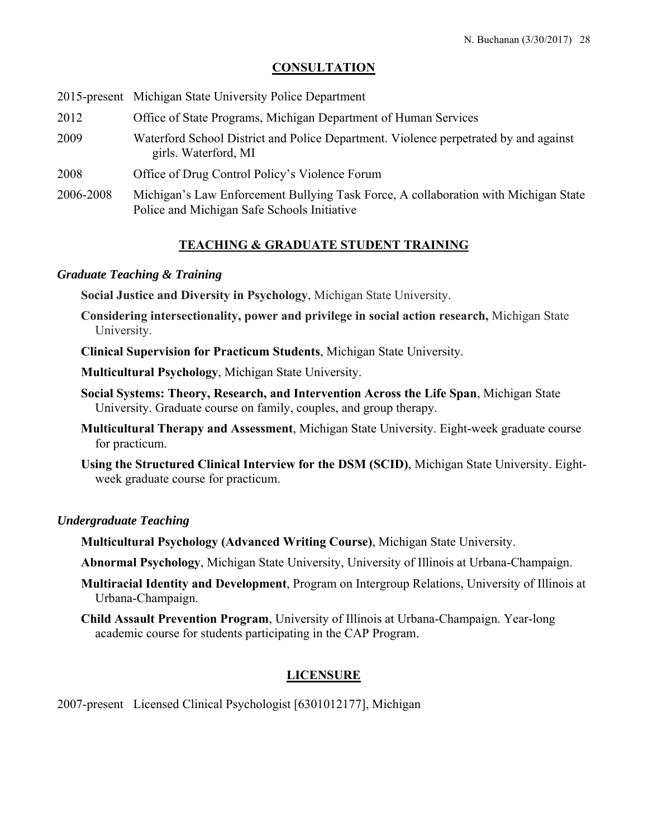# **CONSULTATION**

|  |  | 2015-present Michigan State University Police Department |
|--|--|----------------------------------------------------------|
|--|--|----------------------------------------------------------|

- 2012 Office of State Programs, Michigan Department of Human Services
- 2009 Waterford School District and Police Department. Violence perpetrated by and against girls. Waterford, MI
- 2008 Office of Drug Control Policy's Violence Forum
- 2006-2008 Michigan's Law Enforcement Bullying Task Force, A collaboration with Michigan State Police and Michigan Safe Schools Initiative

# **TEACHING & GRADUATE STUDENT TRAINING**

### *Graduate Teaching & Training*

**Social Justice and Diversity in Psychology**, Michigan State University.

**Considering intersectionality, power and privilege in social action research,** Michigan State University.

**Clinical Supervision for Practicum Students**, Michigan State University.

**Multicultural Psychology**, Michigan State University.

- **Social Systems: Theory, Research, and Intervention Across the Life Span**, Michigan State University. Graduate course on family, couples, and group therapy.
- **Multicultural Therapy and Assessment**, Michigan State University. Eight-week graduate course for practicum.
- **Using the Structured Clinical Interview for the DSM (SCID)**, Michigan State University. Eightweek graduate course for practicum.

# *Undergraduate Teaching*

**Multicultural Psychology (Advanced Writing Course)**, Michigan State University.

**Abnormal Psychology**, Michigan State University, University of Illinois at Urbana-Champaign.

- **Multiracial Identity and Development**, Program on Intergroup Relations, University of Illinois at Urbana-Champaign.
- **Child Assault Prevention Program**, University of Illinois at Urbana-Champaign. Year-long academic course for students participating in the CAP Program.

# **LICENSURE**

2007-present Licensed Clinical Psychologist [6301012177], Michigan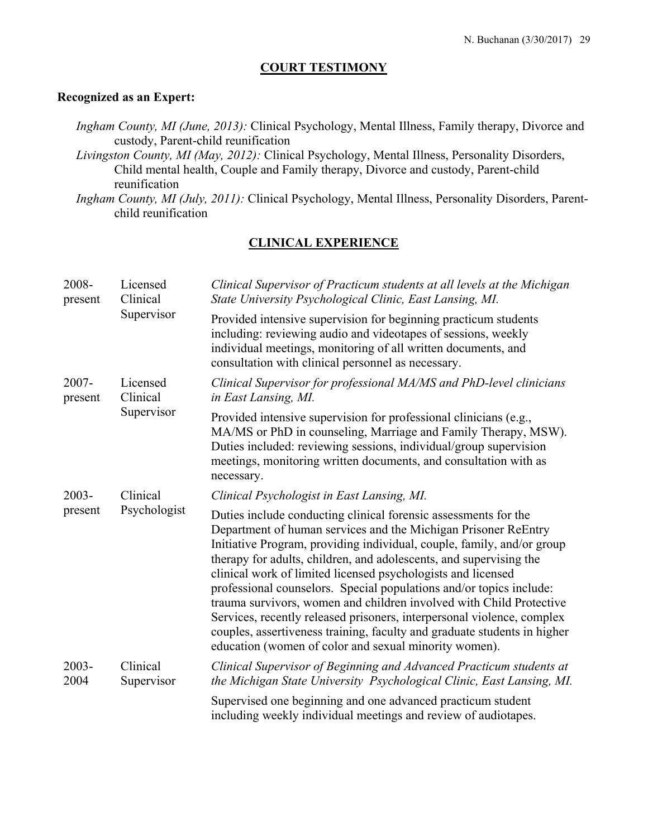### **COURT TESTIMONY**

#### **Recognized as an Expert:**

*Ingham County, MI (June, 2013):* Clinical Psychology, Mental Illness, Family therapy, Divorce and custody, Parent-child reunification

*Livingston County, MI (May, 2012):* Clinical Psychology, Mental Illness, Personality Disorders, Child mental health, Couple and Family therapy, Divorce and custody, Parent-child reunification

*Ingham County, MI (July, 2011):* Clinical Psychology, Mental Illness, Personality Disorders, Parentchild reunification

# **CLINICAL EXPERIENCE**

| 2008-<br>present    | Licensed<br>Clinical<br>Supervisor | Clinical Supervisor of Practicum students at all levels at the Michigan<br>State University Psychological Clinic, East Lansing, MI.                                                                                                                                                                                                                                                                                                                                                                                                                                                                                                                                                                            |
|---------------------|------------------------------------|----------------------------------------------------------------------------------------------------------------------------------------------------------------------------------------------------------------------------------------------------------------------------------------------------------------------------------------------------------------------------------------------------------------------------------------------------------------------------------------------------------------------------------------------------------------------------------------------------------------------------------------------------------------------------------------------------------------|
|                     |                                    | Provided intensive supervision for beginning practicum students<br>including: reviewing audio and videotapes of sessions, weekly<br>individual meetings, monitoring of all written documents, and<br>consultation with clinical personnel as necessary.                                                                                                                                                                                                                                                                                                                                                                                                                                                        |
| $2007 -$<br>present | Licensed<br>Clinical<br>Supervisor | Clinical Supervisor for professional MA/MS and PhD-level clinicians<br>in East Lansing, MI.                                                                                                                                                                                                                                                                                                                                                                                                                                                                                                                                                                                                                    |
|                     |                                    | Provided intensive supervision for professional clinicians (e.g.,<br>MA/MS or PhD in counseling, Marriage and Family Therapy, MSW).<br>Duties included: reviewing sessions, individual/group supervision<br>meetings, monitoring written documents, and consultation with as<br>necessary.                                                                                                                                                                                                                                                                                                                                                                                                                     |
| 2003-               | Clinical                           | Clinical Psychologist in East Lansing, MI.                                                                                                                                                                                                                                                                                                                                                                                                                                                                                                                                                                                                                                                                     |
| present             | Psychologist                       | Duties include conducting clinical forensic assessments for the<br>Department of human services and the Michigan Prisoner ReEntry<br>Initiative Program, providing individual, couple, family, and/or group<br>therapy for adults, children, and adolescents, and supervising the<br>clinical work of limited licensed psychologists and licensed<br>professional counselors. Special populations and/or topics include:<br>trauma survivors, women and children involved with Child Protective<br>Services, recently released prisoners, interpersonal violence, complex<br>couples, assertiveness training, faculty and graduate students in higher<br>education (women of color and sexual minority women). |
| $2003 -$<br>2004    | Clinical<br>Supervisor             | Clinical Supervisor of Beginning and Advanced Practicum students at<br>the Michigan State University Psychological Clinic, East Lansing, MI.                                                                                                                                                                                                                                                                                                                                                                                                                                                                                                                                                                   |
|                     |                                    | Supervised one beginning and one advanced practicum student<br>including weekly individual meetings and review of audiotapes.                                                                                                                                                                                                                                                                                                                                                                                                                                                                                                                                                                                  |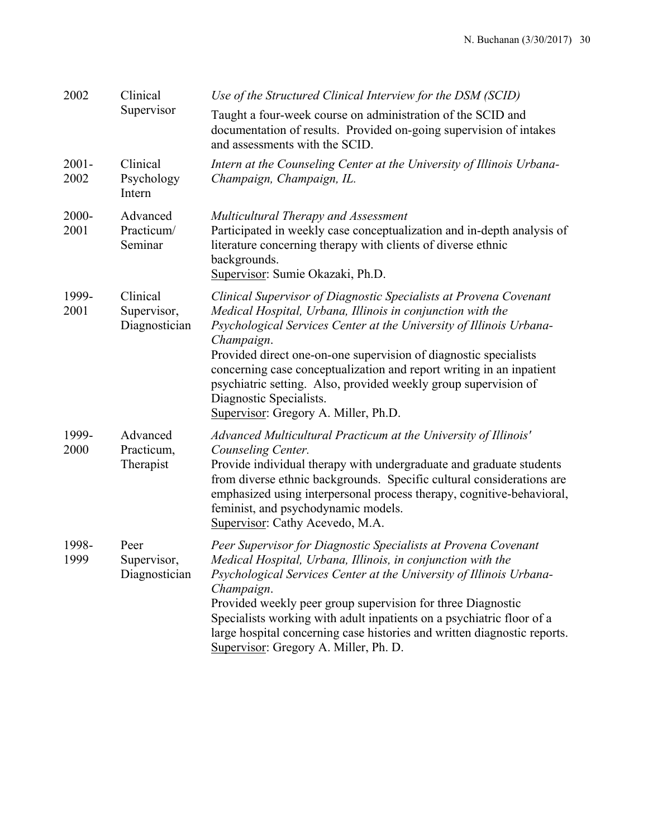| 2002             | Clinical                                 | Use of the Structured Clinical Interview for the DSM (SCID)                                                                                                                                                                                                                                                                                                                                                                                                                                            |
|------------------|------------------------------------------|--------------------------------------------------------------------------------------------------------------------------------------------------------------------------------------------------------------------------------------------------------------------------------------------------------------------------------------------------------------------------------------------------------------------------------------------------------------------------------------------------------|
|                  | Supervisor                               | Taught a four-week course on administration of the SCID and<br>documentation of results. Provided on-going supervision of intakes<br>and assessments with the SCID.                                                                                                                                                                                                                                                                                                                                    |
| $2001 -$<br>2002 | Clinical<br>Psychology<br>Intern         | Intern at the Counseling Center at the University of Illinois Urbana-<br>Champaign, Champaign, IL.                                                                                                                                                                                                                                                                                                                                                                                                     |
| 2000-<br>2001    | Advanced<br>Practicum/<br>Seminar        | Multicultural Therapy and Assessment<br>Participated in weekly case conceptualization and in-depth analysis of<br>literature concerning therapy with clients of diverse ethnic<br>backgrounds.<br>Supervisor: Sumie Okazaki, Ph.D.                                                                                                                                                                                                                                                                     |
| 1999-<br>2001    | Clinical<br>Supervisor,<br>Diagnostician | Clinical Supervisor of Diagnostic Specialists at Provena Covenant<br>Medical Hospital, Urbana, Illinois in conjunction with the<br>Psychological Services Center at the University of Illinois Urbana-<br>Champaign.<br>Provided direct one-on-one supervision of diagnostic specialists<br>concerning case conceptualization and report writing in an inpatient<br>psychiatric setting. Also, provided weekly group supervision of<br>Diagnostic Specialists.<br>Supervisor: Gregory A. Miller, Ph.D. |
| 1999-<br>2000    | Advanced<br>Practicum,<br>Therapist      | Advanced Multicultural Practicum at the University of Illinois'<br>Counseling Center.<br>Provide individual therapy with undergraduate and graduate students<br>from diverse ethnic backgrounds. Specific cultural considerations are<br>emphasized using interpersonal process therapy, cognitive-behavioral,<br>feminist, and psychodynamic models.<br>Supervisor: Cathy Acevedo, M.A.                                                                                                               |
| 1998-<br>1999    | Peer<br>Supervisor,<br>Diagnostician     | Peer Supervisor for Diagnostic Specialists at Provena Covenant<br>Medical Hospital, Urbana, Illinois, in conjunction with the<br>Psychological Services Center at the University of Illinois Urbana-<br>Champaign.<br>Provided weekly peer group supervision for three Diagnostic<br>Specialists working with adult inpatients on a psychiatric floor of a<br>large hospital concerning case histories and written diagnostic reports.<br>Supervisor: Gregory A. Miller, Ph. D.                        |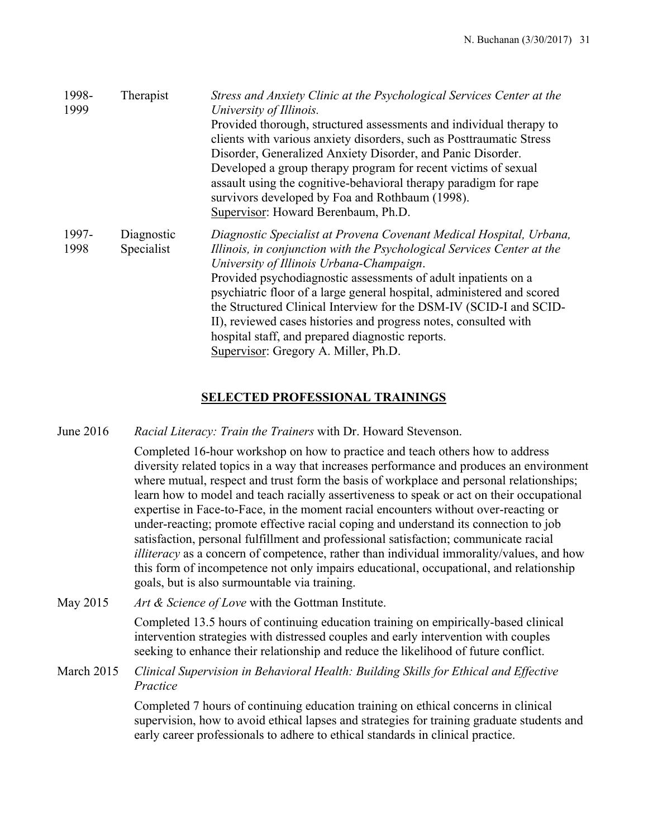| 1998-<br>1999 | Therapist                | Stress and Anxiety Clinic at the Psychological Services Center at the<br>University of Illinois.<br>Provided thorough, structured assessments and individual therapy to<br>clients with various anxiety disorders, such as Posttraumatic Stress<br>Disorder, Generalized Anxiety Disorder, and Panic Disorder.<br>Developed a group therapy program for recent victims of sexual<br>assault using the cognitive-behavioral therapy paradigm for rape<br>survivors developed by Foa and Rothbaum (1998).<br>Supervisor: Howard Berenbaum, Ph.D.                              |
|---------------|--------------------------|-----------------------------------------------------------------------------------------------------------------------------------------------------------------------------------------------------------------------------------------------------------------------------------------------------------------------------------------------------------------------------------------------------------------------------------------------------------------------------------------------------------------------------------------------------------------------------|
| 1997-<br>1998 | Diagnostic<br>Specialist | Diagnostic Specialist at Provena Covenant Medical Hospital, Urbana,<br>Illinois, in conjunction with the Psychological Services Center at the<br>University of Illinois Urbana-Champaign.<br>Provided psychodiagnostic assessments of adult inpatients on a<br>psychiatric floor of a large general hospital, administered and scored<br>the Structured Clinical Interview for the DSM-IV (SCID-I and SCID-<br>II), reviewed cases histories and progress notes, consulted with<br>hospital staff, and prepared diagnostic reports.<br>Supervisor: Gregory A. Miller, Ph.D. |

# **SELECTED PROFESSIONAL TRAININGS**

June 2016 *Racial Literacy: Train the Trainers* with Dr. Howard Stevenson.

 Completed 16-hour workshop on how to practice and teach others how to address diversity related topics in a way that increases performance and produces an environment where mutual, respect and trust form the basis of workplace and personal relationships; learn how to model and teach racially assertiveness to speak or act on their occupational expertise in Face-to-Face, in the moment racial encounters without over-reacting or under-reacting; promote effective racial coping and understand its connection to job satisfaction, personal fulfillment and professional satisfaction; communicate racial *illiteracy* as a concern of competence, rather than individual immorality/values, and how this form of incompetence not only impairs educational, occupational, and relationship goals, but is also surmountable via training.

May 2015 *Art & Science of Love* with the Gottman Institute.

 Completed 13.5 hours of continuing education training on empirically-based clinical intervention strategies with distressed couples and early intervention with couples seeking to enhance their relationship and reduce the likelihood of future conflict.

March 2015 *Clinical Supervision in Behavioral Health: Building Skills for Ethical and Effective Practice* 

> Completed 7 hours of continuing education training on ethical concerns in clinical supervision, how to avoid ethical lapses and strategies for training graduate students and early career professionals to adhere to ethical standards in clinical practice.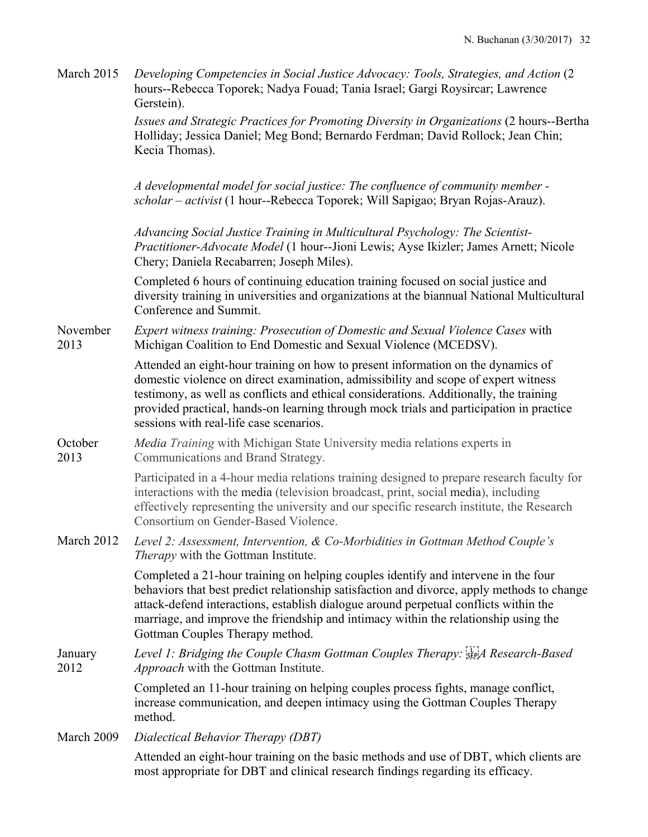| March 2015       | Developing Competencies in Social Justice Advocacy: Tools, Strategies, and Action (2)<br>hours--Rebecca Toporek; Nadya Fouad; Tania Israel; Gargi Roysircar; Lawrence<br>Gerstein).                                                                                                                                                                                                                    |
|------------------|--------------------------------------------------------------------------------------------------------------------------------------------------------------------------------------------------------------------------------------------------------------------------------------------------------------------------------------------------------------------------------------------------------|
|                  | Issues and Strategic Practices for Promoting Diversity in Organizations (2 hours--Bertha<br>Holliday; Jessica Daniel; Meg Bond; Bernardo Ferdman; David Rollock; Jean Chin;<br>Kecia Thomas).                                                                                                                                                                                                          |
|                  | A developmental model for social justice: The confluence of community member -<br>scholar – activist (1 hour--Rebecca Toporek; Will Sapigao; Bryan Rojas-Arauz).                                                                                                                                                                                                                                       |
|                  | Advancing Social Justice Training in Multicultural Psychology: The Scientist-<br>Practitioner-Advocate Model (1 hour--Jioni Lewis; Ayse Ikizler; James Arnett; Nicole<br>Chery; Daniela Recabarren; Joseph Miles).                                                                                                                                                                                     |
|                  | Completed 6 hours of continuing education training focused on social justice and<br>diversity training in universities and organizations at the biannual National Multicultural<br>Conference and Summit.                                                                                                                                                                                              |
| November<br>2013 | Expert witness training: Prosecution of Domestic and Sexual Violence Cases with<br>Michigan Coalition to End Domestic and Sexual Violence (MCEDSV).                                                                                                                                                                                                                                                    |
|                  | Attended an eight-hour training on how to present information on the dynamics of<br>domestic violence on direct examination, admissibility and scope of expert witness<br>testimony, as well as conflicts and ethical considerations. Additionally, the training<br>provided practical, hands-on learning through mock trials and participation in practice<br>sessions with real-life case scenarios. |
| October<br>2013  | Media Training with Michigan State University media relations experts in<br>Communications and Brand Strategy.                                                                                                                                                                                                                                                                                         |
|                  | Participated in a 4-hour media relations training designed to prepare research faculty for<br>interactions with the media (television broadcast, print, social media), including<br>effectively representing the university and our specific research institute, the Research<br>Consortium on Gender-Based Violence.                                                                                  |
| March 2012       | Level 2: Assessment, Intervention, & Co-Morbidities in Gottman Method Couple's<br><i>Therapy</i> with the Gottman Institute.                                                                                                                                                                                                                                                                           |
|                  | Completed a 21-hour training on helping couples identify and intervene in the four<br>behaviors that best predict relationship satisfaction and divorce, apply methods to change<br>attack-defend interactions, establish dialogue around perpetual conflicts within the<br>marriage, and improve the friendship and intimacy within the relationship using the<br>Gottman Couples Therapy method.     |
| January<br>2012  | Level 1: Bridging the Couple Chasm Gottman Couples Therapy: $\frac{1}{25}$ A Research-Based<br><i>Approach</i> with the Gottman Institute.                                                                                                                                                                                                                                                             |
|                  | Completed an 11-hour training on helping couples process fights, manage conflict,<br>increase communication, and deepen intimacy using the Gottman Couples Therapy<br>method.                                                                                                                                                                                                                          |
| March 2009       | Dialectical Behavior Therapy (DBT)                                                                                                                                                                                                                                                                                                                                                                     |
|                  | Attended an eight-hour training on the basic methods and use of DBT, which clients are<br>most appropriate for DBT and clinical research findings regarding its efficacy.                                                                                                                                                                                                                              |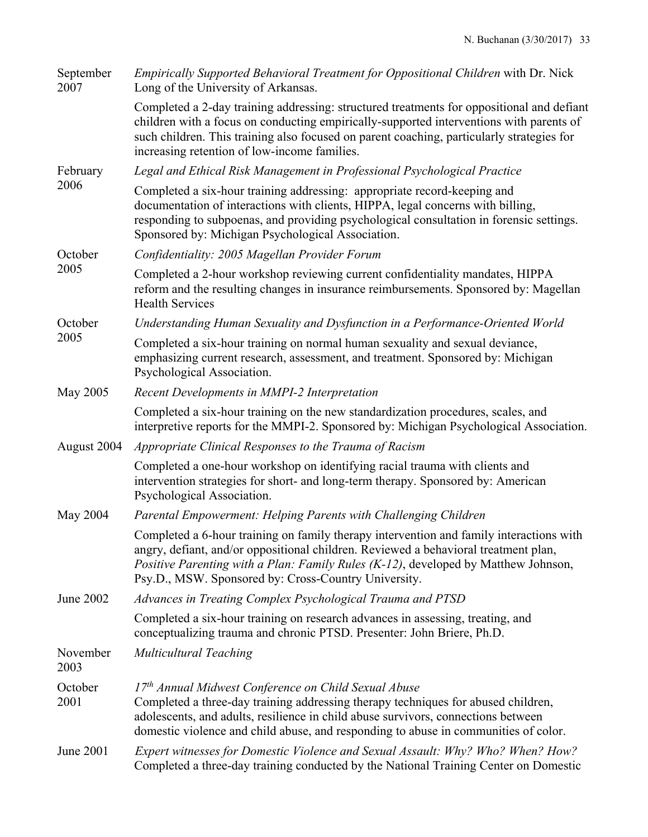| September<br>2007 | Empirically Supported Behavioral Treatment for Oppositional Children with Dr. Nick<br>Long of the University of Arkansas.                                                                                                                                                                                                         |
|-------------------|-----------------------------------------------------------------------------------------------------------------------------------------------------------------------------------------------------------------------------------------------------------------------------------------------------------------------------------|
|                   | Completed a 2-day training addressing: structured treatments for oppositional and defiant<br>children with a focus on conducting empirically-supported interventions with parents of<br>such children. This training also focused on parent coaching, particularly strategies for<br>increasing retention of low-income families. |
| February          | Legal and Ethical Risk Management in Professional Psychological Practice                                                                                                                                                                                                                                                          |
| 2006              | Completed a six-hour training addressing: appropriate record-keeping and<br>documentation of interactions with clients, HIPPA, legal concerns with billing,<br>responding to subpoenas, and providing psychological consultation in forensic settings.<br>Sponsored by: Michigan Psychological Association.                       |
| October           | Confidentiality: 2005 Magellan Provider Forum                                                                                                                                                                                                                                                                                     |
| 2005              | Completed a 2-hour workshop reviewing current confidentiality mandates, HIPPA<br>reform and the resulting changes in insurance reimbursements. Sponsored by: Magellan<br><b>Health Services</b>                                                                                                                                   |
| October           | Understanding Human Sexuality and Dysfunction in a Performance-Oriented World                                                                                                                                                                                                                                                     |
| 2005              | Completed a six-hour training on normal human sexuality and sexual deviance,<br>emphasizing current research, assessment, and treatment. Sponsored by: Michigan<br>Psychological Association.                                                                                                                                     |
| May 2005          | Recent Developments in MMPI-2 Interpretation                                                                                                                                                                                                                                                                                      |
|                   | Completed a six-hour training on the new standardization procedures, scales, and<br>interpretive reports for the MMPI-2. Sponsored by: Michigan Psychological Association.                                                                                                                                                        |
| August 2004       | Appropriate Clinical Responses to the Trauma of Racism                                                                                                                                                                                                                                                                            |
|                   | Completed a one-hour workshop on identifying racial trauma with clients and<br>intervention strategies for short- and long-term therapy. Sponsored by: American<br>Psychological Association.                                                                                                                                     |
| May 2004          | Parental Empowerment: Helping Parents with Challenging Children                                                                                                                                                                                                                                                                   |
|                   | Completed a 6-hour training on family therapy intervention and family interactions with<br>angry, defiant, and/or oppositional children. Reviewed a behavioral treatment plan,<br>Positive Parenting with a Plan: Family Rules (K-12), developed by Matthew Johnson,<br>Psy.D., MSW. Sponsored by: Cross-Country University.      |
| June 2002         | Advances in Treating Complex Psychological Trauma and PTSD                                                                                                                                                                                                                                                                        |
|                   | Completed a six-hour training on research advances in assessing, treating, and<br>conceptualizing trauma and chronic PTSD. Presenter: John Briere, Ph.D.                                                                                                                                                                          |
| November<br>2003  | <b>Multicultural Teaching</b>                                                                                                                                                                                                                                                                                                     |
| October<br>2001   | 17 <sup>th</sup> Annual Midwest Conference on Child Sexual Abuse<br>Completed a three-day training addressing therapy techniques for abused children,<br>adolescents, and adults, resilience in child abuse survivors, connections between<br>domestic violence and child abuse, and responding to abuse in communities of color. |
| June 2001         | Expert witnesses for Domestic Violence and Sexual Assault: Why? Who? When? How?<br>Completed a three-day training conducted by the National Training Center on Domestic                                                                                                                                                           |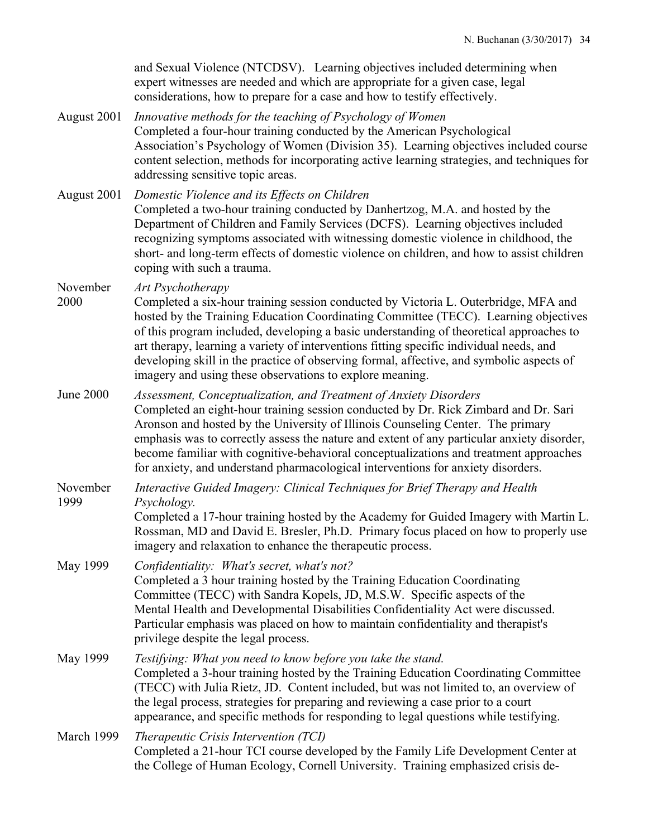|                  | and Sexual Violence (NTCDSV). Learning objectives included determining when<br>expert witnesses are needed and which are appropriate for a given case, legal<br>considerations, how to prepare for a case and how to testify effectively.                                                                                                                                                                                                                                                                                                     |
|------------------|-----------------------------------------------------------------------------------------------------------------------------------------------------------------------------------------------------------------------------------------------------------------------------------------------------------------------------------------------------------------------------------------------------------------------------------------------------------------------------------------------------------------------------------------------|
| August 2001      | Innovative methods for the teaching of Psychology of Women<br>Completed a four-hour training conducted by the American Psychological<br>Association's Psychology of Women (Division 35). Learning objectives included course<br>content selection, methods for incorporating active learning strategies, and techniques for<br>addressing sensitive topic areas.                                                                                                                                                                              |
| August 2001      | Domestic Violence and its Effects on Children<br>Completed a two-hour training conducted by Danhertzog, M.A. and hosted by the<br>Department of Children and Family Services (DCFS). Learning objectives included<br>recognizing symptoms associated with witnessing domestic violence in childhood, the<br>short- and long-term effects of domestic violence on children, and how to assist children<br>coping with such a trauma.                                                                                                           |
| November<br>2000 | Art Psychotherapy<br>Completed a six-hour training session conducted by Victoria L. Outerbridge, MFA and<br>hosted by the Training Education Coordinating Committee (TECC). Learning objectives<br>of this program included, developing a basic understanding of theoretical approaches to<br>art therapy, learning a variety of interventions fitting specific individual needs, and<br>developing skill in the practice of observing formal, affective, and symbolic aspects of<br>imagery and using these observations to explore meaning. |
| <b>June 2000</b> | Assessment, Conceptualization, and Treatment of Anxiety Disorders<br>Completed an eight-hour training session conducted by Dr. Rick Zimbard and Dr. Sari<br>Aronson and hosted by the University of Illinois Counseling Center. The primary<br>emphasis was to correctly assess the nature and extent of any particular anxiety disorder,<br>become familiar with cognitive-behavioral conceptualizations and treatment approaches<br>for anxiety, and understand pharmacological interventions for anxiety disorders.                        |
| November<br>1999 | Interactive Guided Imagery: Clinical Techniques for Brief Therapy and Health<br>Psychology.<br>Completed a 17-hour training hosted by the Academy for Guided Imagery with Martin L.<br>Rossman, MD and David E. Bresler, Ph.D. Primary focus placed on how to properly use<br>imagery and relaxation to enhance the therapeutic process.                                                                                                                                                                                                      |
| May 1999         | Confidentiality: What's secret, what's not?<br>Completed a 3 hour training hosted by the Training Education Coordinating<br>Committee (TECC) with Sandra Kopels, JD, M.S.W. Specific aspects of the<br>Mental Health and Developmental Disabilities Confidentiality Act were discussed.<br>Particular emphasis was placed on how to maintain confidentiality and therapist's<br>privilege despite the legal process.                                                                                                                          |
| May 1999         | Testifying: What you need to know before you take the stand.<br>Completed a 3-hour training hosted by the Training Education Coordinating Committee<br>(TECC) with Julia Rietz, JD. Content included, but was not limited to, an overview of<br>the legal process, strategies for preparing and reviewing a case prior to a court<br>appearance, and specific methods for responding to legal questions while testifying.                                                                                                                     |
| March 1999       | Therapeutic Crisis Intervention (TCI)<br>Completed a 21-hour TCI course developed by the Family Life Development Center at<br>the College of Human Ecology, Cornell University. Training emphasized crisis de-                                                                                                                                                                                                                                                                                                                                |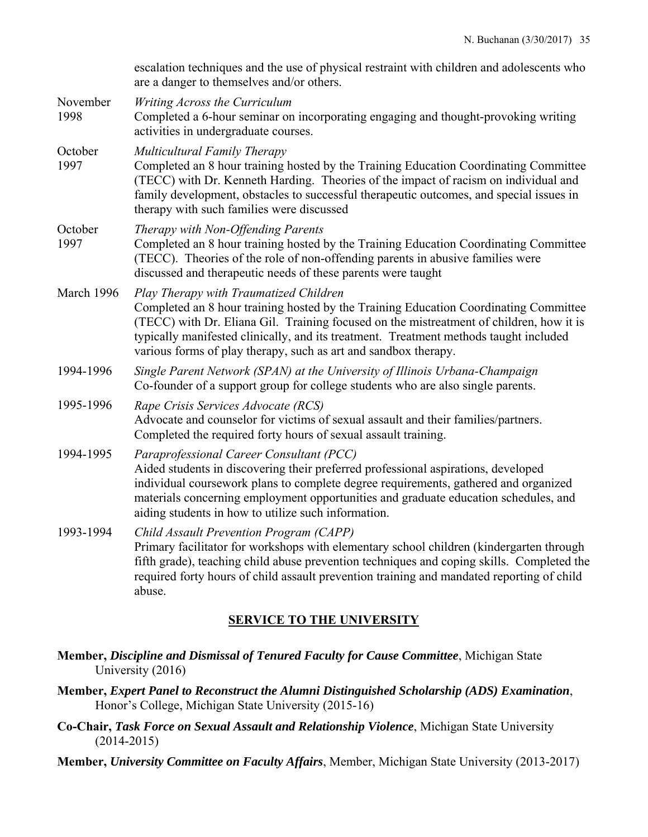|                  | escalation techniques and the use of physical restraint with children and adolescents who<br>are a danger to themselves and/or others.                                                                                                                                                                                                                                                |
|------------------|---------------------------------------------------------------------------------------------------------------------------------------------------------------------------------------------------------------------------------------------------------------------------------------------------------------------------------------------------------------------------------------|
| November<br>1998 | Writing Across the Curriculum<br>Completed a 6-hour seminar on incorporating engaging and thought-provoking writing<br>activities in undergraduate courses.                                                                                                                                                                                                                           |
| October<br>1997  | Multicultural Family Therapy<br>Completed an 8 hour training hosted by the Training Education Coordinating Committee<br>(TECC) with Dr. Kenneth Harding. Theories of the impact of racism on individual and<br>family development, obstacles to successful therapeutic outcomes, and special issues in<br>therapy with such families were discussed                                   |
| October<br>1997  | Therapy with Non-Offending Parents<br>Completed an 8 hour training hosted by the Training Education Coordinating Committee<br>(TECC). Theories of the role of non-offending parents in abusive families were<br>discussed and therapeutic needs of these parents were taught                                                                                                          |
| March 1996       | Play Therapy with Traumatized Children<br>Completed an 8 hour training hosted by the Training Education Coordinating Committee<br>(TECC) with Dr. Eliana Gil. Training focused on the mistreatment of children, how it is<br>typically manifested clinically, and its treatment. Treatment methods taught included<br>various forms of play therapy, such as art and sandbox therapy. |
| 1994-1996        | Single Parent Network (SPAN) at the University of Illinois Urbana-Champaign<br>Co-founder of a support group for college students who are also single parents.                                                                                                                                                                                                                        |
| 1995-1996        | Rape Crisis Services Advocate (RCS)<br>Advocate and counselor for victims of sexual assault and their families/partners.<br>Completed the required forty hours of sexual assault training.                                                                                                                                                                                            |
| 1994-1995        | Paraprofessional Career Consultant (PCC)<br>Aided students in discovering their preferred professional aspirations, developed<br>individual coursework plans to complete degree requirements, gathered and organized<br>materials concerning employment opportunities and graduate education schedules, and<br>aiding students in how to utilize such information.                    |
| 1993-1994        | Child Assault Prevention Program (CAPP)<br>Primary facilitator for workshops with elementary school children (kindergarten through<br>fifth grade), teaching child abuse prevention techniques and coping skills. Completed the<br>required forty hours of child assault prevention training and mandated reporting of child<br>abuse.                                                |

# **SERVICE TO THE UNIVERSITY**

**Member,** *Discipline and Dismissal of Tenured Faculty for Cause Committee*, Michigan State University (2016)

**Member,** *Expert Panel to Reconstruct the Alumni Distinguished Scholarship (ADS) Examination*, Honor's College, Michigan State University (2015-16)

**Co-Chair,** *Task Force on Sexual Assault and Relationship Violence*, Michigan State University (2014-2015)

**Member,** *University Committee on Faculty Affairs*, Member, Michigan State University (2013-2017)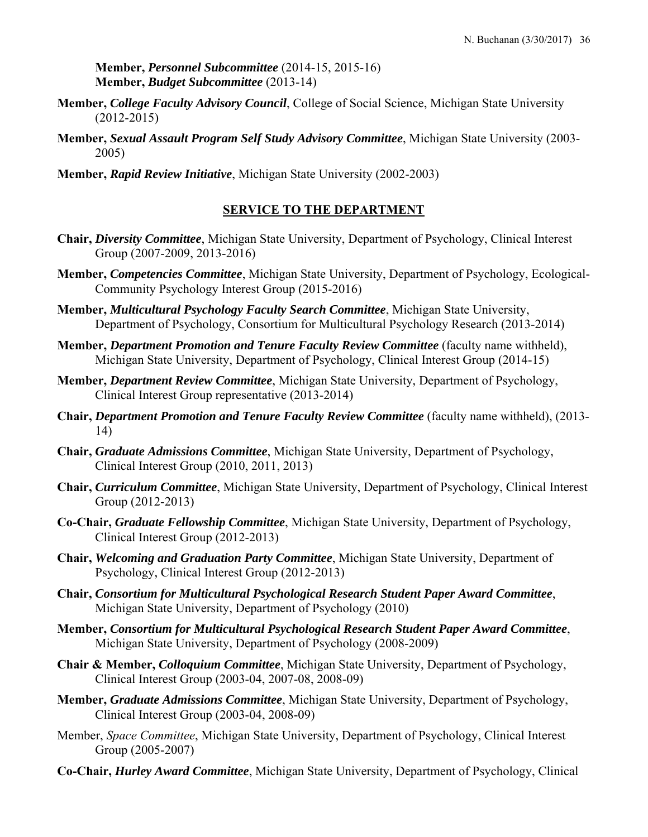**Member,** *Personnel Subcommittee* (2014-15, 2015-16) **Member,** *Budget Subcommittee* (2013-14)

- **Member,** *College Faculty Advisory Council*, College of Social Science, Michigan State University (2012-2015)
- **Member,** *Sexual Assault Program Self Study Advisory Committee*, Michigan State University (2003- 2005)
- **Member,** *Rapid Review Initiative*, Michigan State University (2002-2003)

# **SERVICE TO THE DEPARTMENT**

- **Chair,** *Diversity Committee*, Michigan State University, Department of Psychology, Clinical Interest Group (2007-2009, 2013-2016)
- **Member,** *Competencies Committee*, Michigan State University, Department of Psychology, Ecological-Community Psychology Interest Group (2015-2016)
- **Member,** *Multicultural Psychology Faculty Search Committee*, Michigan State University, Department of Psychology, Consortium for Multicultural Psychology Research (2013-2014)
- **Member,** *Department Promotion and Tenure Faculty Review Committee* (faculty name withheld), Michigan State University, Department of Psychology, Clinical Interest Group (2014-15)
- **Member,** *Department Review Committee*, Michigan State University, Department of Psychology, Clinical Interest Group representative (2013-2014)
- **Chair,** *Department Promotion and Tenure Faculty Review Committee* (faculty name withheld), (2013- 14)
- **Chair,** *Graduate Admissions Committee*, Michigan State University, Department of Psychology, Clinical Interest Group (2010, 2011, 2013)
- **Chair,** *Curriculum Committee*, Michigan State University, Department of Psychology, Clinical Interest Group (2012-2013)
- **Co-Chair,** *Graduate Fellowship Committee*, Michigan State University, Department of Psychology, Clinical Interest Group (2012-2013)
- **Chair,** *Welcoming and Graduation Party Committee*, Michigan State University, Department of Psychology, Clinical Interest Group (2012-2013)
- **Chair,** *Consortium for Multicultural Psychological Research Student Paper Award Committee*, Michigan State University, Department of Psychology (2010)
- **Member,** *Consortium for Multicultural Psychological Research Student Paper Award Committee*, Michigan State University, Department of Psychology (2008-2009)
- **Chair & Member,** *Colloquium Committee*, Michigan State University, Department of Psychology, Clinical Interest Group (2003-04, 2007-08, 2008-09)
- **Member,** *Graduate Admissions Committee*, Michigan State University, Department of Psychology, Clinical Interest Group (2003-04, 2008-09)
- Member, *Space Committee*, Michigan State University, Department of Psychology, Clinical Interest Group (2005-2007)
- **Co-Chair,** *Hurley Award Committee*, Michigan State University, Department of Psychology, Clinical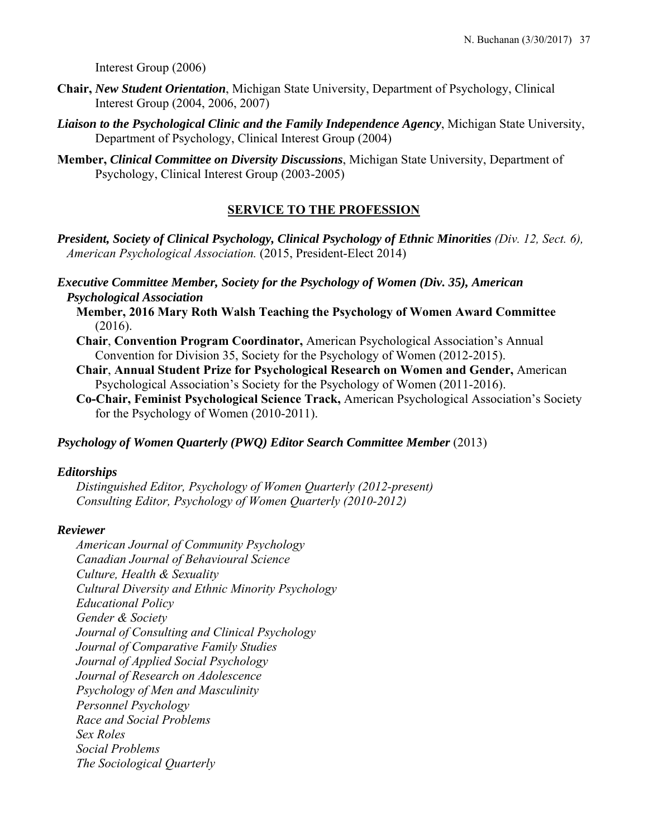Interest Group (2006)

- **Chair,** *New Student Orientation*, Michigan State University, Department of Psychology, Clinical Interest Group (2004, 2006, 2007)
- *Liaison to the Psychological Clinic and the Family Independence Agency*, Michigan State University, Department of Psychology, Clinical Interest Group (2004)
- **Member,** *Clinical Committee on Diversity Discussions*, Michigan State University, Department of Psychology, Clinical Interest Group (2003-2005)

# **SERVICE TO THE PROFESSION**

*President, Society of Clinical Psychology, Clinical Psychology of Ethnic Minorities (Div. 12, Sect. 6), American Psychological Association.* (2015, President-Elect 2014)

*Executive Committee Member, Society for the Psychology of Women (Div. 35), American Psychological Association*

- **Member, 2016 Mary Roth Walsh Teaching the Psychology of Women Award Committee**  (2016).
- **Chair**, **Convention Program Coordinator,** American Psychological Association's Annual Convention for Division 35, Society for the Psychology of Women (2012-2015).
- **Chair**, **Annual Student Prize for Psychological Research on Women and Gender,** American Psychological Association's Society for the Psychology of Women (2011-2016).
- **Co-Chair, Feminist Psychological Science Track,** American Psychological Association's Society for the Psychology of Women (2010-2011).

### *Psychology of Women Quarterly (PWQ) Editor Search Committee Member (2013)*

#### *Editorships*

*Distinguished Editor, Psychology of Women Quarterly (2012-present) Consulting Editor, Psychology of Women Quarterly (2010-2012)* 

#### *Reviewer*

*American Journal of Community Psychology Canadian Journal of Behavioural Science Culture, Health & Sexuality Cultural Diversity and Ethnic Minority Psychology Educational Policy Gender & Society Journal of Consulting and Clinical Psychology Journal of Comparative Family Studies Journal of Applied Social Psychology Journal of Research on Adolescence Psychology of Men and Masculinity Personnel Psychology Race and Social Problems Sex Roles Social Problems The Sociological Quarterly*